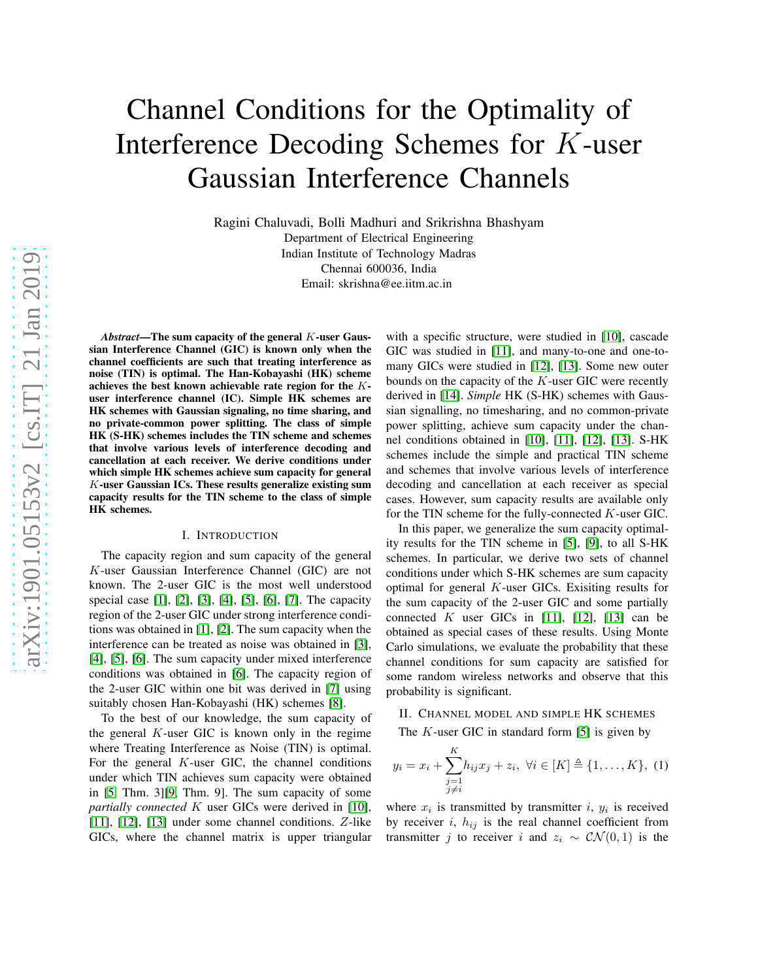# Channel Conditions for the Optimality of Interference Decoding Schemes for K-user Gaussian Interference Channels

Ragini Chaluvadi, Bolli Madhuri and Srikrishna Bhashyam Department of Electrical Engineering Indian Institute of Technology Madras Chennai 600036, India Email: skrishna@ee.iitm.ac.in

*Abstract*—The sum capacity of the general K-user Gaussian Interference Channel (GIC) is known only when the channel coefficients are such that treating interference as noise (TIN) is optimal. The Han-Kobayashi (HK) scheme achieves the best known achievable rate region for the Kuser interference channel (IC). Simple HK schemes are HK schemes with Gaussian signaling, no time sharing, and no private-common power splitting. The class of simple HK (S-HK) schemes includes the TIN scheme and schemes that involve various levels of interference decoding and cancellation at each receiver. We derive conditions under which simple HK schemes achieve sum capacity for general K-user Gaussian ICs. These results generalize existing sum capacity results for the TIN scheme to the class of simple HK schemes.

#### I. INTRODUCTION

The capacity region and sum capacity of the general K-user Gaussian Interference Channel (GIC) are not known. The 2-user GIC is the most well understood special case [\[1\]](#page-6-0), [\[2\]](#page-6-1), [\[3\]](#page-6-2), [\[4\]](#page-6-3), [\[5\]](#page-6-4), [\[6\]](#page-6-5), [\[7\]](#page-6-6). The capacity region of the 2-user GIC under strong interference conditions was obtained in [\[1\]](#page-6-0), [\[2\]](#page-6-1). The sum capacity when the interference can be treated as noise was obtained in [\[3\]](#page-6-2), [\[4\]](#page-6-3), [\[5\]](#page-6-4), [\[6\]](#page-6-5). The sum capacity under mixed interference conditions was obtained in [\[6\]](#page-6-5). The capacity region of the 2-user GIC within one bit was derived in [\[7\]](#page-6-6) using suitably chosen Han-Kobayashi (HK) schemes [\[8\]](#page-6-7).

To the best of our knowledge, the sum capacity of the general  $K$ -user GIC is known only in the regime where Treating Interference as Noise (TIN) is optimal. For the general  $K$ -user GIC, the channel conditions under which TIN achieves sum capacity were obtained in [\[5,](#page-6-4) Thm. 3][\[9,](#page-6-8) Thm. 9]. The sum capacity of some *partially connected* K user GICs were derived in [\[10\]](#page-6-9), [\[11\]](#page-6-10), [\[12\]](#page-6-11), [\[13\]](#page-6-12) under some channel conditions. Z-like GICs, where the channel matrix is upper triangular with a specific structure, were studied in [\[10\]](#page-6-9), cascade GIC was studied in [\[11\]](#page-6-10), and many-to-one and one-tomany GICs were studied in [\[12\]](#page-6-11), [\[13\]](#page-6-12). Some new outer bounds on the capacity of the K-user GIC were recently derived in [\[14\]](#page-6-13). *Simple* HK (S-HK) schemes with Gaussian signalling, no timesharing, and no common-private power splitting, achieve sum capacity under the channel conditions obtained in [\[10\]](#page-6-9), [\[11\]](#page-6-10), [\[12\]](#page-6-11), [\[13\]](#page-6-12). S-HK schemes include the simple and practical TIN scheme and schemes that involve various levels of interference decoding and cancellation at each receiver as special cases. However, sum capacity results are available only for the TIN scheme for the fully-connected K-user GIC.

In this paper, we generalize the sum capacity optimality results for the TIN scheme in [\[5\]](#page-6-4), [\[9\]](#page-6-8), to all S-HK schemes. In particular, we derive two sets of channel conditions under which S-HK schemes are sum capacity optimal for general K-user GICs. Exisiting results for the sum capacity of the 2-user GIC and some partially connected K user GICs in [\[11\]](#page-6-10), [\[12\]](#page-6-11), [\[13\]](#page-6-12) can be obtained as special cases of these results. Using Monte Carlo simulations, we evaluate the probability that these channel conditions for sum capacity are satisfied for some random wireless networks and observe that this probability is significant.

II. CHANNEL MODEL AND SIMPLE HK SCHEMES

The  $K$ -user GIC in standard form [\[5\]](#page-6-4) is given by

$$
y_i = x_i + \sum_{\substack{j=1 \ j \neq i}}^K h_{ij} x_j + z_i, \ \forall i \in [K] \triangleq \{1, \dots, K\}, \ (1)
$$

where  $x_i$  is transmitted by transmitter i,  $y_i$  is received by receiver i,  $h_{ij}$  is the real channel coefficient from transmitter j to receiver i and  $z_i \sim \mathcal{CN}(0,1)$  is the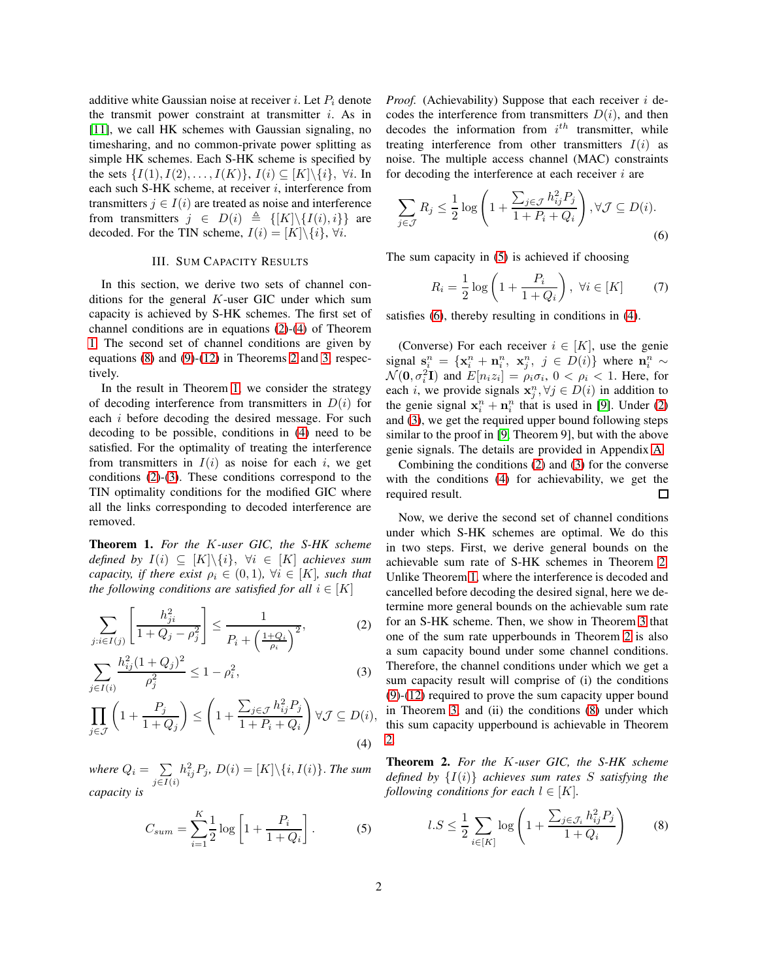additive white Gaussian noise at receiver i. Let  $P_i$  denote the transmit power constraint at transmitter  $i$ . As in [\[11\]](#page-6-10), we call HK schemes with Gaussian signaling, no timesharing, and no common-private power splitting as simple HK schemes. Each S-HK scheme is specified by the sets  $\{I(1), I(2), \ldots, I(K)\}, I(i) \subseteq [K] \backslash \{i\}, \forall i$ . In each such S-HK scheme, at receiver  $i$ , interference from transmitters  $j \in I(i)$  are treated as noise and interference from transmitters  $j \in D(i) \triangleq \{[K]\setminus\{I(i), i\}\}\$ are decoded. For the TIN scheme,  $I(i) = [K] \setminus \{i\}, \forall i$ .

#### III. SUM CAPACITY RESULTS

In this section, we derive two sets of channel conditions for the general  $K$ -user GIC under which sum capacity is achieved by S-HK schemes. The first set of channel conditions are in equations [\(2\)](#page-1-0)-[\(4\)](#page-1-1) of Theorem [1.](#page-1-2) The second set of channel conditions are given by equations [\(8\)](#page-1-3) and [\(9\)](#page-2-0)-[\(12\)](#page-2-1) in Theorems [2](#page-1-4) and [3,](#page-2-2) respectively.

In the result in Theorem [1,](#page-1-2) we consider the strategy of decoding interference from transmitters in  $D(i)$  for each i before decoding the desired message. For such decoding to be possible, conditions in [\(4\)](#page-1-1) need to be satisfied. For the optimality of treating the interference from transmitters in  $I(i)$  as noise for each i, we get conditions [\(2\)](#page-1-0)-[\(3\)](#page-1-5). These conditions correspond to the TIN optimality conditions for the modified GIC where all the links corresponding to decoded interference are removed.

<span id="page-1-2"></span>Theorem 1. *For the* K*-user GIC, the S-HK scheme defined by*  $I(i) \subseteq [K] \backslash \{i\}, \forall i \in [K]$  *achieves sum capacity, if there exist*  $\rho_i \in (0,1)$ ,  $\forall i \in [K]$ *, such that the following conditions are satisfied for all*  $i \in [K]$ 

$$
\sum_{j:i\in I(j)} \left[ \frac{h_{ji}^2}{1 + Q_j - \rho_j^2} \right] \le \frac{1}{P_i + \left( \frac{1 + Q_i}{\rho_i} \right)^2},\tag{2}
$$

$$
\sum_{j \in I(i)} \frac{h_{ij}^2 (1 + Q_j)^2}{\rho_j^2} \le 1 - \rho_i^2,\tag{3}
$$

$$
\prod_{j \in \mathcal{J}} \left( 1 + \frac{P_j}{1 + Q_j} \right) \le \left( 1 + \frac{\sum_{j \in \mathcal{J}} h_{ij}^2 P_j}{1 + P_i + Q_i} \right) \forall \mathcal{J} \subseteq D(i),\tag{4}
$$

where  $Q_i = \sum$  $j \in I(i)$  $h_{ij}^2 P_j$ ,  $D(i) = [K] \backslash \{i, I(i)\}$ . The sum *capacity is*

<span id="page-1-6"></span>
$$
C_{sum} = \sum_{i=1}^{K} \frac{1}{2} \log \left[ 1 + \frac{P_i}{1 + Q_i} \right].
$$
 (5)

*Proof.* (Achievability) Suppose that each receiver i decodes the interference from transmitters  $D(i)$ , and then decodes the information from  $i^{th}$  transmitter, while treating interference from other transmitters  $I(i)$  as noise. The multiple access channel (MAC) constraints for decoding the interference at each receiver  $i$  are

$$
\sum_{j \in \mathcal{J}} R_j \le \frac{1}{2} \log \left( 1 + \frac{\sum_{j \in \mathcal{J}} h_{ij}^2 P_j}{1 + P_i + Q_i} \right), \forall \mathcal{J} \subseteq D(i).
$$
\n
$$
(6)
$$

The sum capacity in [\(5\)](#page-1-6) is achieved if choosing

<span id="page-1-7"></span>
$$
R_i = \frac{1}{2} \log \left( 1 + \frac{P_i}{1 + Q_i} \right), \ \forall i \in [K] \tag{7}
$$

satisfies [\(6\)](#page-1-7), thereby resulting in conditions in [\(4\)](#page-1-1).

(Converse) For each receiver  $i \in [K]$ , use the genie signal  $\mathbf{s}_i^n = {\mathbf{x}_i^n + \mathbf{n}_i^n, \ \mathbf{x}_j^n, \ j \in D(i)}$  where  $\mathbf{n}_i^n \sim$  $\mathcal{N}(\mathbf{0}, \sigma_i^2 \mathbf{I})$  and  $E[n_i z_i] = \rho_i \sigma_i$ ,  $0 < \rho_i < 1$ . Here, for each *i*, we provide signals  $\mathbf{x}_j^n, \forall j \in D(i)$  in addition to the genie signal  $x_i^n + n_i^n$  that is used in [\[9\]](#page-6-8). Under [\(2\)](#page-1-0) and [\(3\)](#page-1-5), we get the required upper bound following steps similar to the proof in [\[9,](#page-6-8) Theorem 9], but with the above genie signals. The details are provided in Appendix [A.](#page-6-14)

Combining the conditions [\(2\)](#page-1-0) and [\(3\)](#page-1-5) for the converse with the conditions [\(4\)](#page-1-1) for achievability, we get the required result. 口

<span id="page-1-0"></span>Now, we derive the second set of channel conditions under which S-HK schemes are optimal. We do this in two steps. First, we derive general bounds on the achievable sum rate of S-HK schemes in Theorem [2.](#page-1-4) Unlike Theorem [1,](#page-1-2) where the interference is decoded and cancelled before decoding the desired signal, here we determine more general bounds on the achievable sum rate for an S-HK scheme. Then, we show in Theorem [3](#page-2-2) that one of the sum rate upperbounds in Theorem [2](#page-1-4) is also a sum capacity bound under some channel conditions. Therefore, the channel conditions under which we get a sum capacity result will comprise of (i) the conditions [\(9\)](#page-2-0)-[\(12\)](#page-2-1) required to prove the sum capacity upper bound in Theorem [3,](#page-2-2) and (ii) the conditions [\(8\)](#page-1-3) under which this sum capacity upperbound is achievable in Theorem [2.](#page-1-4)

<span id="page-1-5"></span><span id="page-1-4"></span><span id="page-1-1"></span>Theorem 2. *For the* K*-user GIC, the S-HK scheme defined by* {I(i)} *achieves sum rates* S *satisfying the following conditions for each*  $l \in [K]$ *.* 

<span id="page-1-3"></span>
$$
l.S \le \frac{1}{2} \sum_{i \in [K]} \log \left( 1 + \frac{\sum_{j \in \mathcal{J}_i} h_{ij}^2 P_j}{1 + Q_i} \right) \tag{8}
$$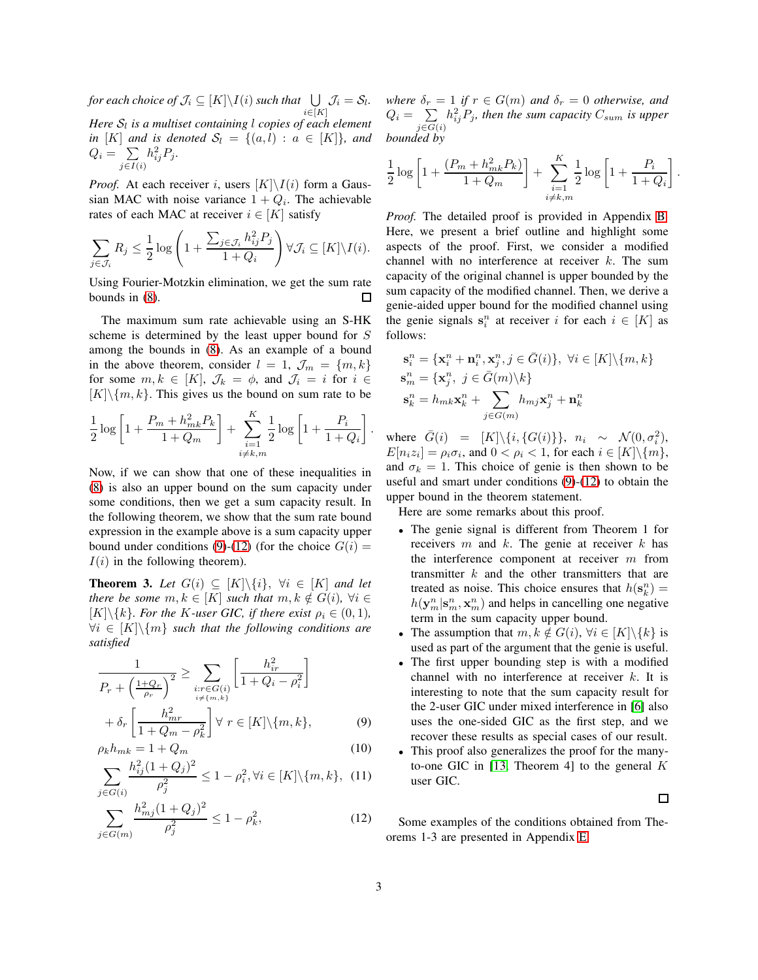for each choice of  $\mathcal{J}_i \subseteq [K] \backslash I(i)$  such that  $\quad \bigcup \ \ \mathcal{J}_i = \mathcal{S}_l.$  $i \in [K]$ Here  $\mathcal{S}_l$  is a multiset containing  $l$  copies of each element *in* [K] *and is denoted*  $S_l = \{(a, l) : a \in [K]\}$ *, and*  $Q_i = \sum$  $j \in I(i)$  $h_{ij}^2 P_j$ .

*Proof.* At each receiver i, users  $[K] \setminus I(i)$  form a Gaussian MAC with noise variance  $1 + Q_i$ . The achievable rates of each MAC at receiver  $i \in [K]$  satisfy

$$
\sum_{j \in \mathcal{J}_i} R_j \leq \frac{1}{2} \log \left( 1 + \frac{\sum_{j \in \mathcal{J}_i} h_{ij}^2 P_j}{1 + Q_i} \right) \forall \mathcal{J}_i \subseteq [K] \setminus I(i).
$$

Using Fourier-Motzkin elimination, we get the sum rate bounds in [\(8\)](#page-1-3).  $\Box$ 

The maximum sum rate achievable using an S-HK scheme is determined by the least upper bound for S among the bounds in [\(8\)](#page-1-3). As an example of a bound in the above theorem, consider  $l = 1$ ,  $\mathcal{J}_m = \{m, k\}$ for some  $m, k \in [K]$ ,  $\mathcal{J}_k = \phi$ , and  $\mathcal{J}_i = i$  for  $i \in$  $[K]\{m, k\}$ . This gives us the bound on sum rate to be

$$
\frac{1}{2}\log\left[1+\frac{P_m+h_{mk}^2P_k}{1+Q_m}\right]+\sum_{\substack{i=1\\i\neq k,m}}^K\frac{1}{2}\log\left[1+\frac{P_i}{1+Q_i}\right].
$$

Now, if we can show that one of these inequalities in [\(8\)](#page-1-3) is also an upper bound on the sum capacity under some conditions, then we get a sum capacity result. In the following theorem, we show that the sum rate bound expression in the example above is a sum capacity upper bound under conditions [\(9\)](#page-2-0)-[\(12\)](#page-2-1) (for the choice  $G(i)$  =  $I(i)$  in the following theorem).

<span id="page-2-2"></span>**Theorem 3.** Let  $G(i) \subseteq [K] \setminus \{i\}, \forall i \in [K]$  and let *there be some*  $m, k \in [K]$  *such that*  $m, k \notin G(i)$ ,  $\forall i \in$  $[K]\{k\}$ *. For the K-user GIC, if there exist*  $\rho_i \in (0,1)$ *,*  $\forall i \in [K] \backslash \{m\}$  *such that the following conditions are satisfied*

$$
\frac{1}{P_r + \left(\frac{1+Q_r}{\rho_r}\right)^2} \ge \sum_{\substack{i:r \in G(i) \\ i \neq \{m,k\}}} \left[\frac{h_{ir}^2}{1+Q_i - \rho_i^2}\right] + \delta_r \left[\frac{h_{mr}^2}{1+Q_m - \rho_k^2}\right] \forall r \in [K] \setminus \{m, k\},\tag{9}
$$

$$
\rho_k h_{mk} = 1 + Q_m \tag{10}
$$

$$
\sum_{j \in G(i)} \frac{h_{ij}^2 (1 + Q_j)^2}{\rho_j^2} \le 1 - \rho_i^2, \forall i \in [K] \setminus \{m, k\}, \tag{11}
$$

$$
\sum_{j \in G(m)} \frac{h_{mj}^2 (1+Q_j)^2}{\rho_j^2} \le 1 - \rho_k^2,\tag{12}
$$

*where*  $\delta_r = 1$  *if*  $r \in G(m)$  *and*  $\delta_r = 0$  *otherwise, and*  $Q_i = \sum$  $j \in G(i)$  $h_{ij}^2 P_j$ , then the sum capacity  $C_{sum}$  is upper *bounded by*

$$
\frac{1}{2}\log\left[1+\frac{(P_m+h_{mk}^2P_k)}{1+Q_m}\right]+\sum_{\substack{i=1\\i\neq k,m}}^{K}\frac{1}{2}\log\left[1+\frac{P_i}{1+Q_i}\right].
$$

*Proof.* The detailed proof is provided in Appendix [B.](#page-7-0) Here, we present a brief outline and highlight some aspects of the proof. First, we consider a modified channel with no interference at receiver  $k$ . The sum capacity of the original channel is upper bounded by the sum capacity of the modified channel. Then, we derive a genie-aided upper bound for the modified channel using the genie signals  $s_i^n$  at receiver i for each  $i \in [K]$  as follows:

$$
\begin{aligned} \mathbf{s}^n_i &= \{\mathbf{x}^n_i + \mathbf{n}^n_i, \mathbf{x}^n_j, j \in \bar{G}(i)\}, \ \forall i \in [K] \backslash \{m, k\} \\ \mathbf{s}^n_m &= \{\mathbf{x}^n_j, \ j \in \bar{G}(m) \backslash k\} \\ \mathbf{s}^n_k &= h_{mk} \mathbf{x}^n_k + \sum_{j \in G(m)} h_{mj} \mathbf{x}^n_j + \mathbf{n}^n_k \end{aligned}
$$

where  $\bar{G}(i) = [K] \setminus \{i, \{G(i)\}\}, n_i \sim \mathcal{N}(0, \sigma_i^2),$  $E[n_iz_i] = \rho_i \sigma_i$ , and  $0 < \rho_i < 1$ , for each  $i \in [K] \backslash \{m\}$ , and  $\sigma_k = 1$ . This choice of genie is then shown to be useful and smart under conditions [\(9\)](#page-2-0)-[\(12\)](#page-2-1) to obtain the upper bound in the theorem statement.

Here are some remarks about this proof.

- The genie signal is different from Theorem 1 for receivers  $m$  and  $k$ . The genie at receiver  $k$  has the interference component at receiver  $m$  from transmitter  $k$  and the other transmitters that are treated as noise. This choice ensures that  $h(\mathbf{s}_k^n) =$  $h(\mathbf{y}_m^n | \mathbf{s}_m^n, \mathbf{x}_m^n)$  and helps in cancelling one negative term in the sum capacity upper bound.
- The assumption that  $m, k \notin G(i)$ ,  $\forall i \in [K] \backslash \{k\}$  is used as part of the argument that the genie is useful.
- The first upper bounding step is with a modified channel with no interference at receiver k. It is interesting to note that the sum capacity result for the 2-user GIC under mixed interference in [\[6\]](#page-6-5) also uses the one-sided GIC as the first step, and we recover these results as special cases of our result.
- <span id="page-2-4"></span><span id="page-2-3"></span><span id="page-2-0"></span>• This proof also generalizes the proof for the many-to-one GIC in [\[13,](#page-6-12) Theorem 4] to the general  $K$ user GIC.

 $\Box$ 

<span id="page-2-1"></span>Some examples of the conditions obtained from Theorems 1-3 are presented in Appendix [E.](#page-12-0)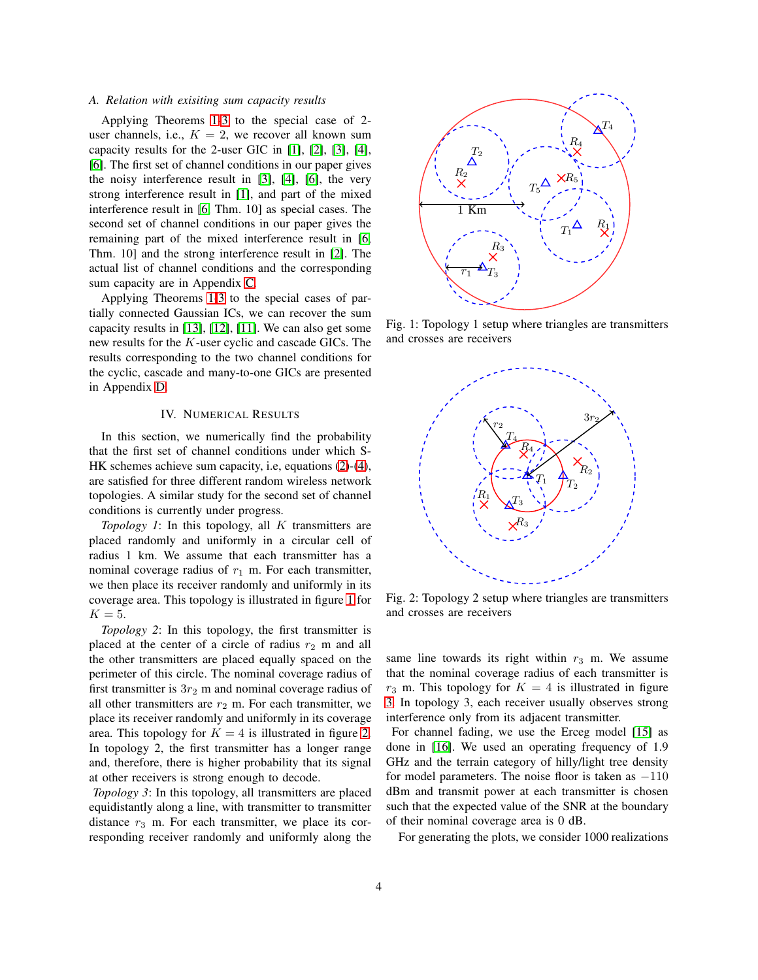## *A. Relation with exisiting sum capacity results*

Applying Theorems [1](#page-1-2)[-3](#page-2-2) to the special case of 2 user channels, i.e.,  $K = 2$ , we recover all known sum capacity results for the 2-user GIC in [\[1\]](#page-6-0), [\[2\]](#page-6-1), [\[3\]](#page-6-2), [\[4\]](#page-6-3), [\[6\]](#page-6-5). The first set of channel conditions in our paper gives the noisy interference result in [\[3\]](#page-6-2), [\[4\]](#page-6-3), [\[6\]](#page-6-5), the very strong interference result in [\[1\]](#page-6-0), and part of the mixed interference result in [\[6,](#page-6-5) Thm. 10] as special cases. The second set of channel conditions in our paper gives the remaining part of the mixed interference result in [\[6,](#page-6-5) Thm. 10] and the strong interference result in [\[2\]](#page-6-1). The actual list of channel conditions and the corresponding sum capacity are in Appendix [C.](#page-9-0)

Applying Theorems [1](#page-1-2)[-3](#page-2-2) to the special cases of partially connected Gaussian ICs, we can recover the sum capacity results in [\[13\]](#page-6-12), [\[12\]](#page-6-11), [\[11\]](#page-6-10). We can also get some new results for the K-user cyclic and cascade GICs. The results corresponding to the two channel conditions for the cyclic, cascade and many-to-one GICs are presented in Appendix [D.](#page-9-1)

## IV. NUMERICAL RESULTS

In this section, we numerically find the probability that the first set of channel conditions under which S-HK schemes achieve sum capacity, i.e, equations [\(2\)](#page-1-0)-[\(4\)](#page-1-1), are satisfied for three different random wireless network topologies. A similar study for the second set of channel conditions is currently under progress.

*Topology 1*: In this topology, all K transmitters are placed randomly and uniformly in a circular cell of radius 1 km. We assume that each transmitter has a nominal coverage radius of  $r_1$  m. For each transmitter, we then place its receiver randomly and uniformly in its coverage area. This topology is illustrated in figure [1](#page-3-0) for  $K=5$ .

*Topology 2*: In this topology, the first transmitter is placed at the center of a circle of radius  $r_2$  m and all the other transmitters are placed equally spaced on the perimeter of this circle. The nominal coverage radius of first transmitter is  $3r_2$  m and nominal coverage radius of all other transmitters are  $r_2$  m. For each transmitter, we place its receiver randomly and uniformly in its coverage area. This topology for  $K = 4$  is illustrated in figure [2.](#page-3-1) In topology 2, the first transmitter has a longer range and, therefore, there is higher probability that its signal at other receivers is strong enough to decode.

*Topology 3*: In this topology, all transmitters are placed equidistantly along a line, with transmitter to transmitter distance  $r_3$  m. For each transmitter, we place its corresponding receiver randomly and uniformly along the

<span id="page-3-0"></span>

Fig. 1: Topology 1 setup where triangles are transmitters and crosses are receivers

<span id="page-3-1"></span>

Fig. 2: Topology 2 setup where triangles are transmitters and crosses are receivers

same line towards its right within  $r_3$  m. We assume that the nominal coverage radius of each transmitter is  $r_3$  m. This topology for  $K = 4$  is illustrated in figure [3.](#page-4-0) In topology 3, each receiver usually observes strong interference only from its adjacent transmitter.

For channel fading, we use the Erceg model [\[15\]](#page-6-15) as done in [\[16\]](#page-6-16). We used an operating frequency of 1.9 GHz and the terrain category of hilly/light tree density for model parameters. The noise floor is taken as  $-110$ dBm and transmit power at each transmitter is chosen such that the expected value of the SNR at the boundary of their nominal coverage area is 0 dB.

For generating the plots, we consider 1000 realizations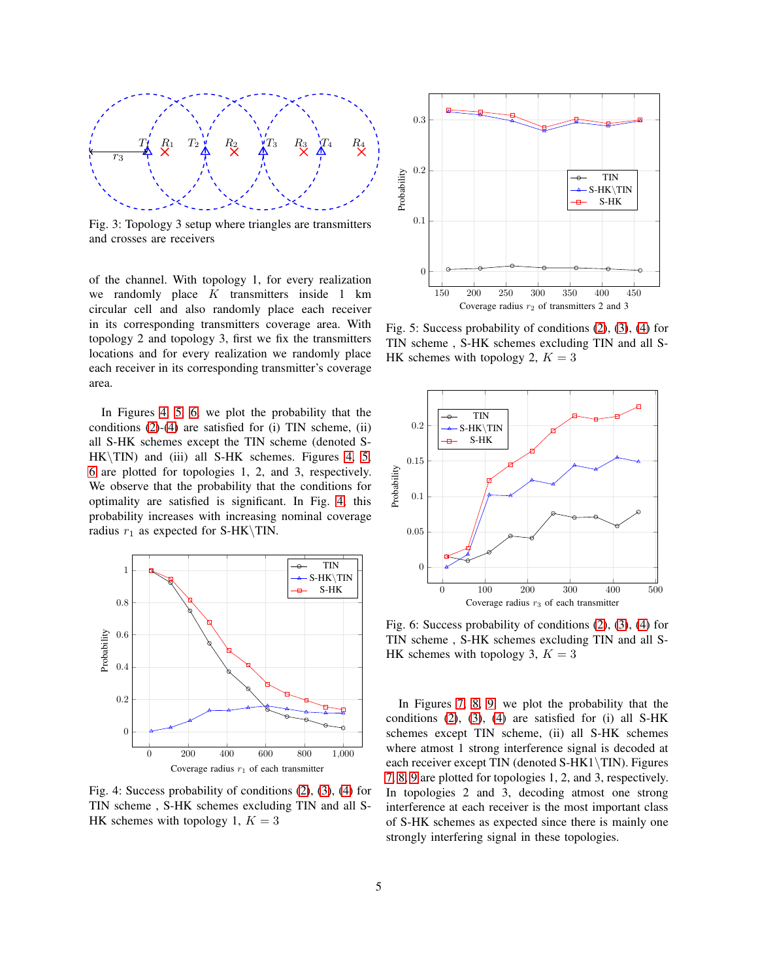<span id="page-4-0"></span>

Fig. 3: Topology 3 setup where triangles are transmitters and crosses are receivers

of the channel. With topology 1, for every realization we randomly place  $K$  transmitters inside 1 km circular cell and also randomly place each receiver in its corresponding transmitters coverage area. With topology 2 and topology 3, first we fix the transmitters locations and for every realization we randomly place each receiver in its corresponding transmitter's coverage area.

In Figures [4,](#page-4-1) [5,](#page-4-2) [6,](#page-4-3) we plot the probability that the conditions [\(2\)](#page-1-0)-[\(4\)](#page-1-1) are satisfied for (i) TIN scheme, (ii) all S-HK schemes except the TIN scheme (denoted S- $HK\$  TIN) and (iii) all S-HK schemes. Figures [4,](#page-4-1) [5,](#page-4-2) [6](#page-4-3) are plotted for topologies 1, 2, and 3, respectively. We observe that the probability that the conditions for optimality are satisfied is significant. In Fig. [4,](#page-4-1) this probability increases with increasing nominal coverage radius  $r_1$  as expected for S-HK\TIN.

<span id="page-4-1"></span>

Fig. 4: Success probability of conditions [\(2\)](#page-1-0), [\(3\)](#page-1-5), [\(4\)](#page-1-1) for TIN scheme , S-HK schemes excluding TIN and all S-HK schemes with topology 1,  $K = 3$ 

<span id="page-4-2"></span>

Fig. 5: Success probability of conditions [\(2\)](#page-1-0), [\(3\)](#page-1-5), [\(4\)](#page-1-1) for TIN scheme , S-HK schemes excluding TIN and all S-HK schemes with topology 2,  $K = 3$ 

<span id="page-4-3"></span>

Fig. 6: Success probability of conditions [\(2\)](#page-1-0), [\(3\)](#page-1-5), [\(4\)](#page-1-1) for TIN scheme , S-HK schemes excluding TIN and all S-HK schemes with topology 3,  $K = 3$ 

In Figures [7,](#page-5-0) [8,](#page-5-1) [9,](#page-5-2) we plot the probability that the conditions [\(2\)](#page-1-0), [\(3\)](#page-1-5), [\(4\)](#page-1-1) are satisfied for (i) all S-HK schemes except TIN scheme, (ii) all S-HK schemes where atmost 1 strong interference signal is decoded at each receiver except TIN (denoted S-HK1\TIN). Figures [7,](#page-5-0) [8,](#page-5-1) [9](#page-5-2) are plotted for topologies 1, 2, and 3, respectively. In topologies 2 and 3, decoding atmost one strong interference at each receiver is the most important class of S-HK schemes as expected since there is mainly one strongly interfering signal in these topologies.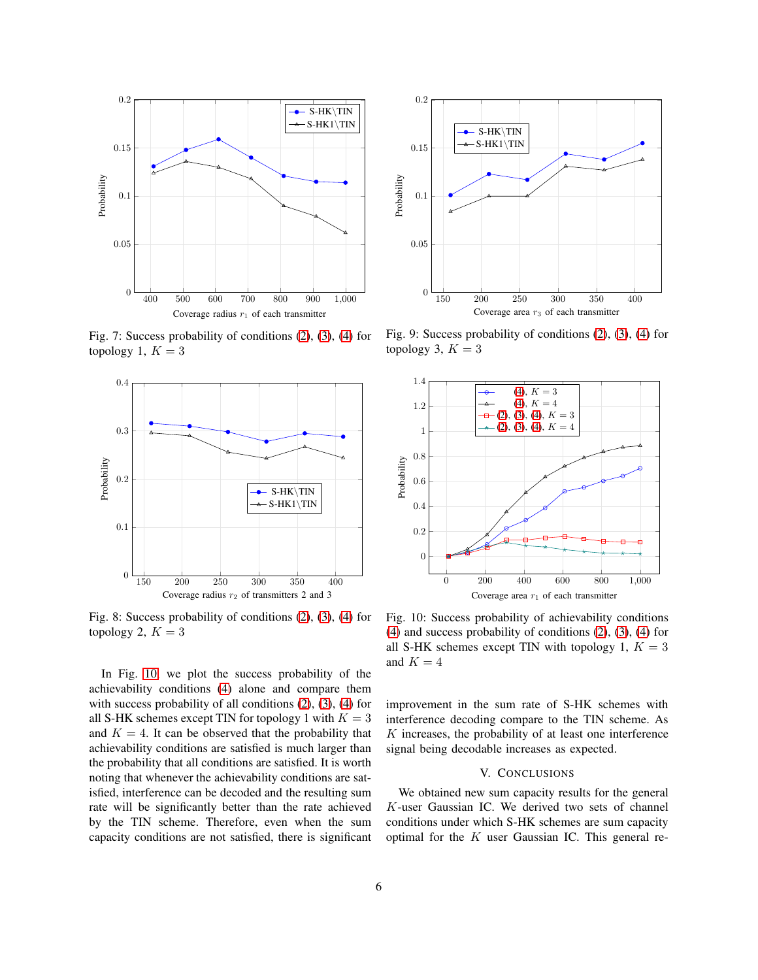<span id="page-5-0"></span>

Fig. 7: Success probability of conditions [\(2\)](#page-1-0), [\(3\)](#page-1-5), [\(4\)](#page-1-1) for topology 1,  $K = 3$ 

<span id="page-5-1"></span>

Fig. 8: Success probability of conditions [\(2\)](#page-1-0), [\(3\)](#page-1-5), [\(4\)](#page-1-1) for topology 2,  $K = 3$ 

In Fig. [10,](#page-5-3) we plot the success probability of the achievability conditions [\(4\)](#page-1-1) alone and compare them with success probability of all conditions  $(2)$ ,  $(3)$ ,  $(4)$  for all S-HK schemes except TIN for topology 1 with  $K = 3$ and  $K = 4$ . It can be observed that the probability that achievability conditions are satisfied is much larger than the probability that all conditions are satisfied. It is worth noting that whenever the achievability conditions are satisfied, interference can be decoded and the resulting sum rate will be significantly better than the rate achieved by the TIN scheme. Therefore, even when the sum capacity conditions are not satisfied, there is significant

<span id="page-5-2"></span>

Fig. 9: Success probability of conditions [\(2\)](#page-1-0), [\(3\)](#page-1-5), [\(4\)](#page-1-1) for topology 3,  $K = 3$ 

<span id="page-5-3"></span>

Fig. 10: Success probability of achievability conditions [\(4\)](#page-1-1) and success probability of conditions [\(2\)](#page-1-0), [\(3\)](#page-1-5), [\(4\)](#page-1-1) for all S-HK schemes except TIN with topology 1,  $K = 3$ and  $K = 4$ 

improvement in the sum rate of S-HK schemes with interference decoding compare to the TIN scheme. As  $K$  increases, the probability of at least one interference signal being decodable increases as expected.

## V. CONCLUSIONS

We obtained new sum capacity results for the general K-user Gaussian IC. We derived two sets of channel conditions under which S-HK schemes are sum capacity optimal for the  $K$  user Gaussian IC. This general re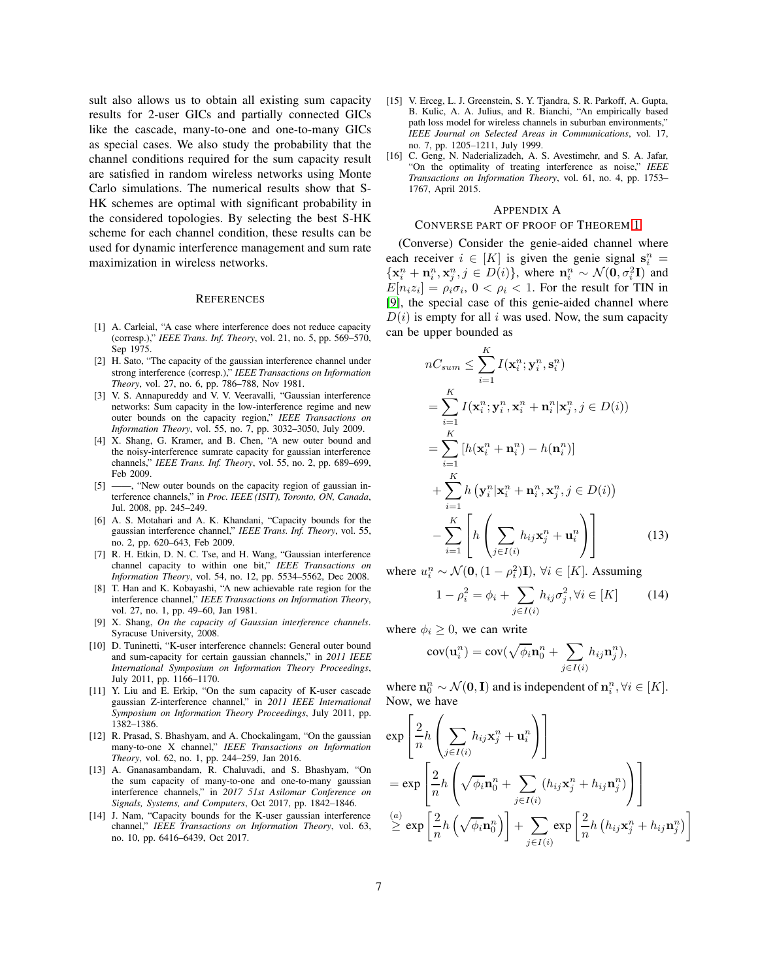sult also allows us to obtain all existing sum capacity results for 2-user GICs and partially connected GICs like the cascade, many-to-one and one-to-many GICs as special cases. We also study the probability that the channel conditions required for the sum capacity result are satisfied in random wireless networks using Monte Carlo simulations. The numerical results show that S-HK schemes are optimal with significant probability in the considered topologies. By selecting the best S-HK scheme for each channel condition, these results can be used for dynamic interference management and sum rate maximization in wireless networks.

#### **REFERENCES**

- <span id="page-6-0"></span>[1] A. Carleial, "A case where interference does not reduce capacity (corresp.)," *IEEE Trans. Inf. Theory*, vol. 21, no. 5, pp. 569–570, Sep 1975.
- <span id="page-6-1"></span>[2] H. Sato, "The capacity of the gaussian interference channel under strong interference (corresp.)," *IEEE Transactions on Information Theory*, vol. 27, no. 6, pp. 786–788, Nov 1981.
- <span id="page-6-2"></span>[3] V. S. Annapureddy and V. V. Veeravalli, "Gaussian interference networks: Sum capacity in the low-interference regime and new outer bounds on the capacity region," *IEEE Transactions on Information Theory*, vol. 55, no. 7, pp. 3032–3050, July 2009.
- <span id="page-6-3"></span>[4] X. Shang, G. Kramer, and B. Chen, "A new outer bound and the noisy-interference sumrate capacity for gaussian interference channels," *IEEE Trans. Inf. Theory*, vol. 55, no. 2, pp. 689–699, Feb 2009.
- <span id="page-6-4"></span>[5] ——, "New outer bounds on the capacity region of gaussian interference channels," in *Proc. IEEE (ISIT), Toronto, ON, Canada*, Jul. 2008, pp. 245–249.
- <span id="page-6-5"></span>[6] A. S. Motahari and A. K. Khandani, "Capacity bounds for the gaussian interference channel," *IEEE Trans. Inf. Theory*, vol. 55, no. 2, pp. 620–643, Feb 2009.
- <span id="page-6-6"></span>[7] R. H. Etkin, D. N. C. Tse, and H. Wang, "Gaussian interference channel capacity to within one bit," *IEEE Transactions on Information Theory*, vol. 54, no. 12, pp. 5534–5562, Dec 2008.
- <span id="page-6-7"></span>[8] T. Han and K. Kobayashi, "A new achievable rate region for the interference channel," *IEEE Transactions on Information Theory*, vol. 27, no. 1, pp. 49–60, Jan 1981.
- <span id="page-6-8"></span>[9] X. Shang, *On the capacity of Gaussian interference channels*. Syracuse University, 2008.
- <span id="page-6-9"></span>[10] D. Tuninetti, "K-user interference channels: General outer bound and sum-capacity for certain gaussian channels," in *2011 IEEE International Symposium on Information Theory Proceedings*, July 2011, pp. 1166–1170.
- <span id="page-6-10"></span>[11] Y. Liu and E. Erkip, "On the sum capacity of K-user cascade gaussian Z-interference channel," in *2011 IEEE International Symposium on Information Theory Proceedings*, July 2011, pp. 1382–1386.
- <span id="page-6-11"></span>[12] R. Prasad, S. Bhashyam, and A. Chockalingam, "On the gaussian many-to-one X channel," *IEEE Transactions on Information Theory*, vol. 62, no. 1, pp. 244–259, Jan 2016.
- <span id="page-6-12"></span>[13] A. Gnanasambandam, R. Chaluvadi, and S. Bhashyam, "On the sum capacity of many-to-one and one-to-many gaussian interference channels," in *2017 51st Asilomar Conference on Signals, Systems, and Computers*, Oct 2017, pp. 1842–1846.
- <span id="page-6-13"></span>[14] J. Nam, "Capacity bounds for the K-user gaussian interference channel," *IEEE Transactions on Information Theory*, vol. 63, no. 10, pp. 6416–6439, Oct 2017.
- <span id="page-6-15"></span>[15] V. Erceg, L. J. Greenstein, S. Y. Tjandra, S. R. Parkoff, A. Gupta, B. Kulic, A. A. Julius, and R. Bianchi, "An empirically based path loss model for wireless channels in suburban environments," *IEEE Journal on Selected Areas in Communications*, vol. 17, no. 7, pp. 1205–1211, July 1999.
- <span id="page-6-16"></span>[16] C. Geng, N. Naderializadeh, A. S. Avestimehr, and S. A. Jafar, "On the optimality of treating interference as noise," *IEEE Transactions on Information Theory*, vol. 61, no. 4, pp. 1753– 1767, April 2015.

#### <span id="page-6-14"></span>APPENDIX A

#### CONVERSE PART OF PROOF OF THEOREM [1](#page-1-2)

(Converse) Consider the genie-aided channel where each receiver  $i \in [K]$  is given the genie signal  $s_i^n =$  $\{x_i^n + n_i^n, x_j^n, j \in D(i)\}\$ , where  $n_i^n \sim \mathcal{N}(\mathbf{0}, \sigma_i^2 \mathbf{I})$  and  $E[n_iz_i] = \rho_i \sigma_i$ ,  $0 < \rho_i < 1$ . For the result for TIN in [\[9\]](#page-6-8), the special case of this genie-aided channel where  $D(i)$  is empty for all i was used. Now, the sum capacity can be upper bounded as

$$
nC_{sum} \leq \sum_{i=1}^{K} I(\mathbf{x}_i^n; \mathbf{y}_i^n, \mathbf{s}_i^n)
$$
  
\n
$$
= \sum_{i=1}^{K} I(\mathbf{x}_i^n; \mathbf{y}_i^n, \mathbf{x}_i^n + \mathbf{n}_i^n | \mathbf{x}_j^n, j \in D(i))
$$
  
\n
$$
= \sum_{i=1}^{K} [h(\mathbf{x}_i^n + \mathbf{n}_i^n) - h(\mathbf{n}_i^n)]
$$
  
\n
$$
+ \sum_{i=1}^{K} h(\mathbf{y}_i^n | \mathbf{x}_i^n + \mathbf{n}_i^n, \mathbf{x}_j^n, j \in D(i))
$$
  
\n
$$
- \sum_{i=1}^{K} \left[ h\left(\sum_{j \in I(i)} h_{ij} \mathbf{x}_j^n + \mathbf{u}_i^n\right) \right]
$$
(13)

where  $u_i^n \sim \mathcal{N}(\mathbf{0}, (1 - \rho_i^2)\mathbf{I})$ ,  $\forall i \in [K]$ . Assuming

<span id="page-6-17"></span>
$$
1 - \rho_i^2 = \phi_i + \sum_{j \in I(i)} h_{ij} \sigma_j^2, \forall i \in [K]
$$
 (14)

where  $\phi_i \geq 0$ , we can write

$$
cov(\mathbf{u}_i^n) = cov(\sqrt{\phi_i}\mathbf{n}_0^n + \sum_{j \in I(i)} h_{ij}\mathbf{n}_j^n),
$$

where  $\mathbf{n}_0^n \sim \mathcal{N}(\mathbf{0}, \mathbf{I})$  and is independent of  $\mathbf{n}_i^n, \forall i \in [K]$ . Now, we have

$$
\exp\left[\frac{2}{n}h\left(\sum_{j\in I(i)}h_{ij}\mathbf{x}_{j}^{n}+\mathbf{u}_{i}^{n}\right)\right]
$$
  
\n
$$
=\exp\left[\frac{2}{n}h\left(\sqrt{\phi_{i}}\mathbf{n}_{0}^{n}+\sum_{j\in I(i)}(h_{ij}\mathbf{x}_{j}^{n}+h_{ij}\mathbf{n}_{j}^{n})\right)\right]
$$
  
\n
$$
\stackrel{(a)}{\geq}\exp\left[\frac{2}{n}h\left(\sqrt{\phi_{i}}\mathbf{n}_{0}^{n}\right)\right]+\sum_{j\in I(i)}\exp\left[\frac{2}{n}h\left(h_{ij}\mathbf{x}_{j}^{n}+h_{ij}\mathbf{n}_{j}^{n}\right)\right]
$$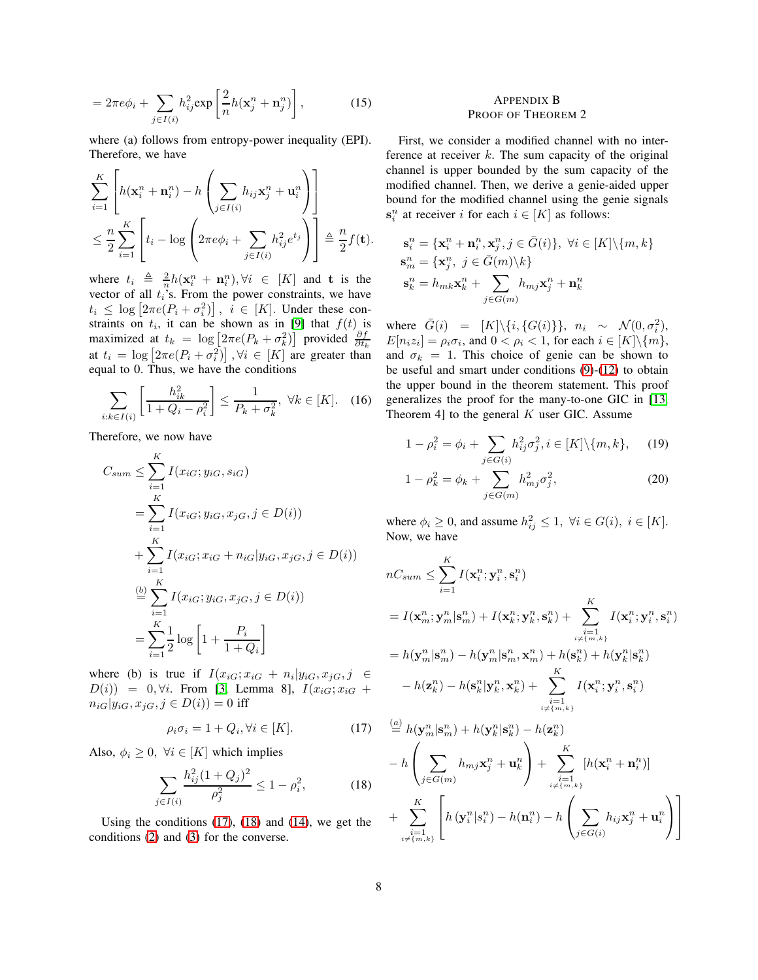$$
=2\pi e\phi_i+\sum_{j\in I(i)}h_{ij}^2\exp\left[\frac{2}{n}h(\mathbf{x}_j^n+\mathbf{n}_j^n)\right],\qquad(15)
$$

where (a) follows from entropy-power inequality (EPI). Therefore, we have

$$
\sum_{i=1}^K \left[ h(\mathbf{x}_i^n + \mathbf{n}_i^n) - h\left(\sum_{j \in I(i)} h_{ij}\mathbf{x}_j^n + \mathbf{u}_i^n\right) \right]
$$
  

$$
\leq \frac{n}{2} \sum_{i=1}^K \left[ t_i - \log \left(2\pi e \phi_i + \sum_{j \in I(i)} h_{ij}^2 e^{t_j} \right) \right] \triangleq \frac{n}{2} f(\mathbf{t}).
$$

where  $t_i \triangleq \frac{2}{n}h(\mathbf{x}_i^n + \mathbf{n}_i^n), \forall i \in [K]$  and t is the vector of all  $t_i$ 's. From the power constraints, we have  $t_i \leq \log \left[ 2 \pi e(P_i + \sigma_i^2) \right], i \in [K].$  Under these constraints on  $t_i$ , it can be shown as in [\[9\]](#page-6-8) that  $f(t)$  is maximized at  $t_k = \log \left[2\pi e(P_k + \sigma_k^2)\right]$  provided  $\frac{\partial f}{\partial t_k}$ at  $t_i = \log \left[2\pi e(P_i + \sigma_i^2)\right], \forall i \in [K]$  are greater than equal to 0. Thus, we have the conditions

$$
\sum_{i:k\in I(i)} \left[ \frac{h_{ik}^2}{1+Q_i - \rho_i^2} \right] \le \frac{1}{P_k + \sigma_k^2}, \ \forall k \in [K]. \quad (16)
$$

Therefore, we now have

$$
C_{sum} \leq \sum_{i=1}^{K} I(x_{iG}; y_{iG}, s_{iG})
$$
  
= 
$$
\sum_{i=1}^{K} I(x_{iG}; y_{iG}, x_{jG}, j \in D(i))
$$
  
+ 
$$
\sum_{i=1}^{K} I(x_{iG}; x_{iG} + n_{iG}| y_{iG}, x_{jG}, j \in D(i))
$$
  

$$
\stackrel{(b)}{=} \sum_{i=1}^{K} I(x_{iG}; y_{iG}, x_{jG}, j \in D(i))
$$
  
= 
$$
\sum_{i=1}^{K} \frac{1}{2} \log \left[ 1 + \frac{P_i}{1 + Q_i} \right]
$$

where (b) is true if  $I(x_{iG}; x_{iG} + n_i|y_{iG}, x_{jG}, j \in$  $D(i)$  = 0,  $\forall i$ . From [\[3,](#page-6-2) Lemma 8],  $I(x_{iG}; x_{iG} +$  $n_{iG}|y_{iG}, x_{iG}, j \in D(i)) = 0$  iff

<span id="page-7-1"></span>
$$
\rho_i \sigma_i = 1 + Q_i, \forall i \in [K]. \tag{17}
$$

Also,  $\phi_i \geq 0$ ,  $\forall i \in [K]$  which implies

$$
\sum_{j \in I(i)} \frac{h_{ij}^2 (1 + Q_j)^2}{\rho_j^2} \le 1 - \rho_i^2,\tag{18}
$$

Using the conditions [\(17\)](#page-7-1), [\(18\)](#page-7-2) and [\(14\)](#page-6-17), we get the conditions [\(2\)](#page-1-0) and [\(3\)](#page-1-5) for the converse.

# <span id="page-7-0"></span>APPENDIX B PROOF OF THEOREM 2

First, we consider a modified channel with no interference at receiver  $k$ . The sum capacity of the original channel is upper bounded by the sum capacity of the modified channel. Then, we derive a genie-aided upper bound for the modified channel using the genie signals  $s_i^n$  at receiver i for each  $i \in [K]$  as follows:

$$
\begin{aligned} \mathbf{s}_i^n &= \{\mathbf{x}_i^n + \mathbf{n}_i^n, \mathbf{x}_j^n, j \in \bar{G}(i)\}, \ \forall i \in [K] \backslash \{m, k\} \\ \mathbf{s}_m^n &= \{\mathbf{x}_j^n, \ j \in \bar{G}(m) \backslash k\} \\ \mathbf{s}_k^n &= h_{mk} \mathbf{x}_k^n + \sum_{j \in G(m)} h_{mj} \mathbf{x}_j^n + \mathbf{n}_k^n \end{aligned}
$$

where  $\bar{G}(i) = [K] \setminus \{i, \{G(i)\}\}, n_i \sim \mathcal{N}(0, \sigma_i^2),$  $E[n_iz_i] = \rho_i \sigma_i$ , and  $0 < \rho_i < 1$ , for each  $i \in [K] \backslash \{m\},$ and  $\sigma_k = 1$ . This choice of genie can be shown to be useful and smart under conditions [\(9\)](#page-2-0)-[\(12\)](#page-2-1) to obtain the upper bound in the theorem statement. This proof generalizes the proof for the many-to-one GIC in [\[13,](#page-6-12) Theorem 4] to the general  $K$  user GIC. Assume

<span id="page-7-3"></span>
$$
1 - \rho_i^2 = \phi_i + \sum_{j \in G(i)} h_{ij}^2 \sigma_j^2, i \in [K] \setminus \{m, k\}, \quad (19)
$$

<span id="page-7-4"></span>
$$
1 - \rho_k^2 = \phi_k + \sum_{j \in G(m)} h_{mj}^2 \sigma_j^2, \tag{20}
$$

where  $\phi_i \geq 0$ , and assume  $h_{ij}^2 \leq 1$ ,  $\forall i \in G(i)$ ,  $i \in [K]$ . Now, we have

$$
nC_{sum} \leq \sum_{i=1}^{K} I(\mathbf{x}_i^n; \mathbf{y}_i^n, \mathbf{s}_i^n)
$$
  
=  $I(\mathbf{x}_m^n; \mathbf{y}_m^n | \mathbf{s}_m^n) + I(\mathbf{x}_k^n; \mathbf{y}_k^n, \mathbf{s}_k^n) + \sum_{\substack{i=1 \ i \neq \{m,k\} \\ i \neq \{m,k\} }}^{K} I(\mathbf{x}_i^n; \mathbf{y}_i^n, \mathbf{s}_i^n)$   
=  $h(\mathbf{y}_m^n | \mathbf{s}_m^n) - h(\mathbf{y}_m^n | \mathbf{s}_m^n, \mathbf{x}_m^n) + h(\mathbf{s}_k^n) + h(\mathbf{y}_k^n | \mathbf{s}_k^n)$   
 $- h(\mathbf{z}_k^n) - h(\mathbf{s}_k^n | \mathbf{y}_k^n, \mathbf{x}_k^n) + \sum_{\substack{i=1 \ i \neq \{m,k\} \\ i \neq \{m,k\} }}^{K} I(\mathbf{x}_i^n; \mathbf{y}_i^n, \mathbf{s}_i^n)$ 

<span id="page-7-2"></span>
$$
\stackrel{(a)}{=} h(\mathbf{y}_m^n | \mathbf{s}_m^n) + h(\mathbf{y}_k^n | \mathbf{s}_k^n) - h(\mathbf{z}_k^n)
$$
\n
$$
- h\left(\sum_{j \in G(m)} h_{mj} \mathbf{x}_j^n + \mathbf{u}_k^n\right) + \sum_{\substack{i=1 \ i \neq \{m,k\}}}^K [h(\mathbf{x}_i^n + \mathbf{n}_i^n)]
$$
\n
$$
+ \sum_{\substack{i=1 \ i \neq \{m,k\}}}^K \left[ h(\mathbf{y}_i^n | \mathbf{s}_i^n) - h(\mathbf{n}_i^n) - h\left(\sum_{j \in G(i)} h_{ij} \mathbf{x}_j^n + \mathbf{u}_i^n\right) \right]
$$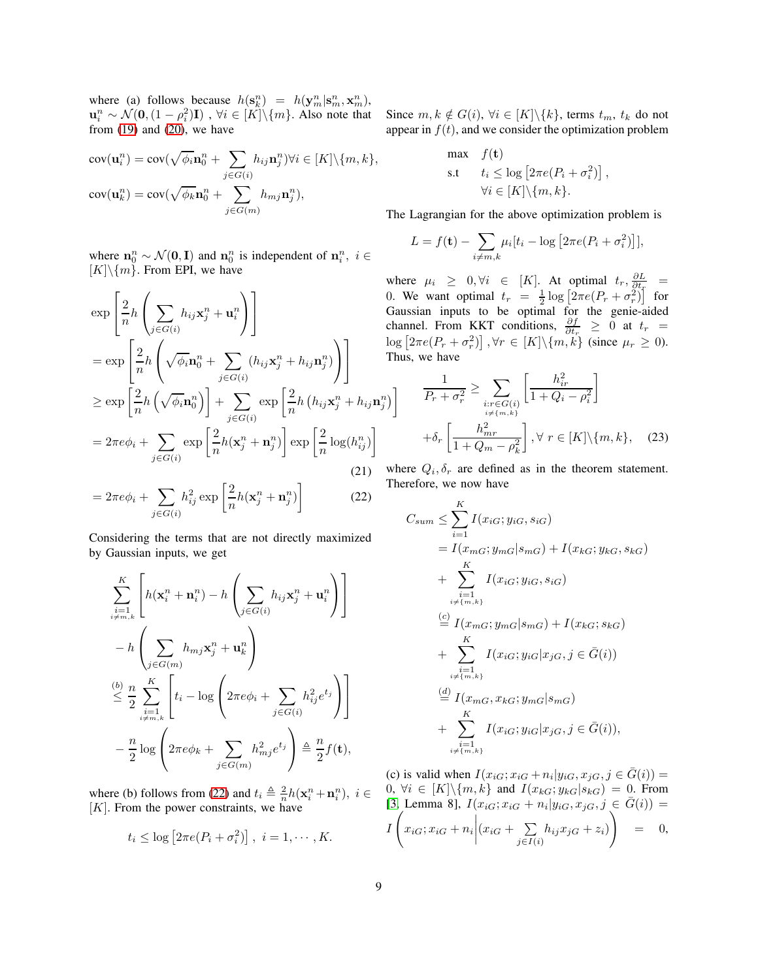where (a) follows because  $h(\mathbf{s}_k^n) = h(\mathbf{y}_m^n | \mathbf{s}_m^n, \mathbf{x}_m^n)$ ,  $\mathbf{u}_i^n \sim \mathcal{N}(\mathbf{0}, (1-\rho_i^2)\mathbf{I})$  ,  $\forall i \in [K] \backslash \{m\}$ . Also note that from  $(19)$  and  $(20)$ , we have

$$
cov(\mathbf{u}_i^n) = cov(\sqrt{\phi_i} \mathbf{n}_0^n + \sum_{j \in G(i)} h_{ij} \mathbf{n}_j^n) \forall i \in [K] \setminus \{m, k\},
$$
  

$$
cov(\mathbf{u}_k^n) = cov(\sqrt{\phi_k} \mathbf{n}_0^n + \sum_{j \in G(m)} h_{mj} \mathbf{n}_j^n),
$$

where  $\mathbf{n}_0^n \sim \mathcal{N}(\mathbf{0}, \mathbf{I})$  and  $\mathbf{n}_0^n$  is independent of  $\mathbf{n}_i^n$ ,  $i \in$  $[K]\setminus\{m\}$ . From EPI, we have

$$
\exp\left[\frac{2}{n}h\left(\sum_{j\in G(i)}h_{ij}\mathbf{x}_{j}^{n}+\mathbf{u}_{i}^{n}\right)\right]
$$
\n
$$
=\exp\left[\frac{2}{n}h\left(\sqrt{\phi_{i}}\mathbf{n}_{0}^{n}+\sum_{j\in G(i)}(h_{ij}\mathbf{x}_{j}^{n}+h_{ij}\mathbf{n}_{j}^{n})\right)\right]
$$
\n
$$
\geq \exp\left[\frac{2}{n}h\left(\sqrt{\phi_{i}}\mathbf{n}_{0}^{n}\right)\right]+\sum_{j\in G(i)}\exp\left[\frac{2}{n}h\left(h_{ij}\mathbf{x}_{j}^{n}+h_{ij}\mathbf{n}\right)\right]
$$
\n
$$
=2\pi e\phi_{i}+\sum_{j\in G(i)}\exp\left[\frac{2}{n}h(\mathbf{x}_{j}^{n}+\mathbf{n}_{j}^{n})\right]\exp\left[\frac{2}{n}\log(h_{ij}^{n})\right]
$$
\n(21)

$$
=2\pi e\phi_i+\sum_{j\in G(i)}h_{ij}^2\exp\left[\frac{2}{n}h(\mathbf{x}_j^n+\mathbf{n}_j^n)\right]
$$
 (22)

Considering the terms that are not directly maximized by Gaussian inputs, we get

$$
\sum_{i=1 \atop i \neq m,k}^{K} \left[ h(\mathbf{x}_i^n + \mathbf{n}_i^n) - h\left(\sum_{j \in G(i)} h_{ij}\mathbf{x}_j^n + \mathbf{u}_i^n\right) \right]
$$
  
- 
$$
h\left(\sum_{j \in G(m)} h_{mj}\mathbf{x}_j^n + \mathbf{u}_k^n\right)
$$
  

$$
\stackrel{(b)}{\leq} \frac{n}{2} \sum_{\substack{i=1 \ i \neq m,k}}^{K} \left[ t_i - \log\left(2\pi e\phi_i + \sum_{j \in G(i)} h_{ij}^2 e^{t_j} \right) \right]
$$
  
- 
$$
\frac{n}{2} \log\left(2\pi e\phi_k + \sum_{j \in G(m)} h_{mj}^2 e^{t_j} \right) \triangleq \frac{n}{2} f(\mathbf{t}),
$$

where (b) follows from [\(22\)](#page-8-0) and  $t_i \triangleq \frac{2}{n} h(\mathbf{x}_i^n + \mathbf{n}_i^n), i \in$  $[K]$ . From the power constraints, we have

$$
t_i \leq \log \left[2\pi e(P_i + \sigma_i^2)\right], i = 1, \cdots, K.
$$

Since  $m, k \notin G(i)$ ,  $\forall i \in [K] \backslash \{k\}$ , terms  $t_m, t_k$  do not appear in  $f(t)$ , and we consider the optimization problem

$$
\begin{aligned}\n\max \quad & f(\mathbf{t}) \\
\text{s.t} \quad & t_i \leq \log \left[ 2\pi e(P_i + \sigma_i^2) \right], \\
& \forall i \in [K] \setminus \{m, k\}.\n\end{aligned}
$$

The Lagrangian for the above optimization problem is

$$
L = f(\mathbf{t}) - \sum_{i \neq m,k} \mu_i [t_i - \log \left[ 2\pi e (P_i + \sigma_i^2) \right]],
$$

where  $\mu_i \geq 0, \forall i \in [K]$ . At optimal  $t_r, \frac{\partial L}{\partial t_r}$ 0. We want optimal  $t_r = \frac{1}{2} \log \left[ 2 \pi e (P_r + \sigma_r^2) \right]$  for Gaussian inputs to be optimal for the genie-aided channel. From KKT conditions,  $\frac{\partial f}{\partial t_r} \geq 0$  at  $t_r =$  $\log [2\pi e(P_r + \sigma_r^2)]$ ,  $\forall r \in [K] \setminus \{m, k\}$  (since  $\mu_r \ge 0$ ). Thus, we have

$$
\frac{1}{P_r + \sigma_r^2} \ge \sum_{\substack{i: r \in G(i) \\ i \neq \{m, k\}}} \left[ \frac{h_{ir}^2}{1 + Q_i - \rho_i^2} \right]
$$

$$
+ \delta_r \left[ \frac{h_{mr}^2}{1 + Q_m - \rho_k^2} \right], \forall \ r \in [K] \setminus \{m, k\}, \quad (23)
$$

<span id="page-8-0"></span>where  $Q_i, \delta_r$  are defined as in the theorem statement. Therefore, we now have

$$
C_{sum} \leq \sum_{i=1}^{K} I(x_{iG}; y_{iG}, s_{iG})
$$
  
=  $I(x_{mG}; y_{mG}|s_{mG}) + I(x_{kG}; y_{kG}, s_{kG})$   
+  $\sum_{i=1, j \atop t \neq \{m, k\}}^{K} I(x_{iG}; y_{iG}, s_{iG})$   
=  $I(x_{mG}; y_{mG}|s_{mG}) + I(x_{kG}; s_{kG})$   
+  $\sum_{i=1, j \atop t \neq \{m, k\}}^{K} I(x_{iG}; y_{iG}|x_{jG}, j \in \bar{G}(i))$   
+  $\sum_{i=1, j \atop t \neq \{m, k\}}^{K} I(x_{iG}; y_{iG}|s_{mG})$   
+  $\sum_{i=1, j \atop t \neq \{m, k\}}^{K} I(x_{iG}; y_{iG}|x_{jG}, j \in \bar{G}(i)),$ 

(c) is valid when  $I(x_{iG}; x_{iG} + n_i|y_{iG}, x_{jG}, j \in \overline{G}(i)) =$ 0,  $\forall i \in [K] \setminus \{m, k\}$  and  $I(x_{kG}; y_{kG} | s_{kG}) = 0$ . From [\[3,](#page-6-2) Lemma 8],  $I(x_{iG}; x_{iG} + n_i | y_{iG}, x_{iG}, j \in \overline{G}(i)) =$ 

$$
I\left(x_{iG};x_{iG}+n_i\bigg|(x_{iG}+\sum_{j\in I(i)}h_{ij}x_{jG}+z_i)\right) = 0,
$$

 $\binom{n}{j}$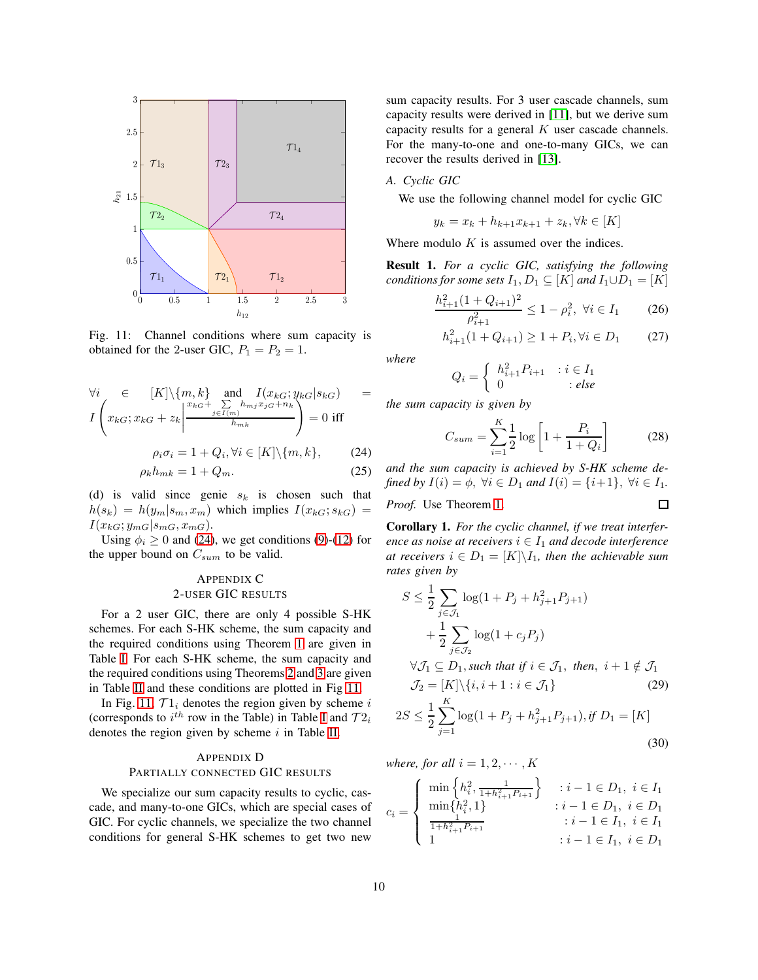<span id="page-9-3"></span>

Fig. 11: Channel conditions where sum capacity is obtained for the 2-user GIC,  $P_1 = P_2 = 1$ .

$$
\forall i \in [K] \setminus \{m, k\} \text{ and } I(x_{kG}; y_{kG} | s_{kG}) = I\left(x_{kG}; x_{kG} + z_k \middle| \frac{x_{kG} + \sum\limits_{j \in I(m)} h_{mj} x_{jG} + n_k}{h_{mk}}\right) = 0 \text{ iff}
$$

$$
\rho_i \sigma_i = 1 + Q_i, \forall i \in [K] \setminus \{m, k\}, \qquad (24)
$$

$$
\rho_k h_{mk} = 1 + Q_m. \tag{25}
$$

(d) is valid since genie  $s_k$  is chosen such that  $h(s_k) = h(y_m|s_m, x_m)$  which implies  $I(x_{kG}; s_{kG}) =$  $I(x_{kG}; y_{mG}|s_{mG}, x_{mG}).$ 

Using  $\phi_i \geq 0$  and [\(24\)](#page-9-2), we get conditions [\(9\)](#page-2-0)-[\(12\)](#page-2-1) for the upper bound on  $C_{sum}$  to be valid.

# <span id="page-9-0"></span>APPENDIX C 2-USER GIC RESULTS

For a 2 user GIC, there are only 4 possible S-HK schemes. For each S-HK scheme, the sum capacity and the required conditions using Theorem [1](#page-1-2) are given in Table [I.](#page-10-0) For each S-HK scheme, the sum capacity and the required conditions using Theorems [2](#page-1-4) and [3](#page-2-2) are given in Table [II](#page-10-1) and these conditions are plotted in Fig [11.](#page-9-3)

In Fig. [11,](#page-9-3)  $\mathcal{T}1_i$  denotes the region given by scheme i (corresponds to  $i^{th}$  row in the Table) in Table [I](#page-10-0) and  $\mathcal{T}2_i$ denotes the region given by scheme  $i$  in Table [II.](#page-10-1)

# <span id="page-9-1"></span>APPENDIX D

## PARTIALLY CONNECTED GIC RESULTS

We specialize our sum capacity results to cyclic, cascade, and many-to-one GICs, which are special cases of GIC. For cyclic channels, we specialize the two channel conditions for general S-HK schemes to get two new

sum capacity results. For 3 user cascade channels, sum capacity results were derived in [\[11\]](#page-6-10), but we derive sum capacity results for a general  $K$  user cascade channels. For the many-to-one and one-to-many GICs, we can recover the results derived in [\[13\]](#page-6-12).

## *A. Cyclic GIC*

We use the following channel model for cyclic GIC

$$
y_k = x_k + h_{k+1}x_{k+1} + z_k, \forall k \in [K]
$$

Where modulo  $K$  is assumed over the indices.

Result 1. *For a cyclic GIC, satisfying the following conditions for some sets*  $I_1, D_1 \subseteq [K]$  *and*  $I_1 \cup D_1 = [K]$ 

$$
\frac{h_{i+1}^2 (1 + Q_{i+1})^2}{\rho_{i+1}^2} \le 1 - \rho_i^2, \ \forall i \in I_1 \tag{26}
$$

$$
h_{i+1}^2(1+Q_{i+1}) \ge 1 + P_i, \forall i \in D_1 \qquad (27)
$$

*where*

$$
Q_i = \left\{ \begin{array}{ll} h_{i+1}^2 P_{i+1} & : i \in I_1 \\ 0 & : else \end{array} \right.
$$

*the sum capacity is given by*

$$
C_{sum} = \sum_{i=1}^{K} \frac{1}{2} \log \left[ 1 + \frac{P_i}{1 + Q_i} \right]
$$
 (28)

<span id="page-9-2"></span>*and the sum capacity is achieved by S-HK scheme defined by*  $I(i) = \phi$ ,  $\forall i \in D_1$  *and*  $I(i) = \{i+1\}$ ,  $\forall i \in I_1$ .

*Proof.* Use Theorem [1.](#page-1-2)

<span id="page-9-4"></span>Corollary 1. *For the cyclic channel, if we treat interference as noise at receivers*  $i \in I_1$  *and decode interference at receivers*  $i \in D_1 = [K] \backslash I_1$ , then the achievable sum *rates given by*

$$
S \leq \frac{1}{2} \sum_{j \in \mathcal{J}_1} \log(1 + P_j + h_{j+1}^2 P_{j+1}) + \frac{1}{2} \sum_{j \in \mathcal{J}_2} \log(1 + c_j P_j) + \sqrt{1 - D_1} \sum_{j \in \mathcal{J}_2} \log(1 + c_j P_j) + \sqrt{1 - D_1} \sum_{j \in \mathcal{J}_1} \log(1 + c_j P_j) + \sqrt{1 - D_1} \sum_{j \in \mathcal{J}_2} \log(1 + P_j + h_{j+1}^2 P_{j+1}), \text{if } D_1 = [K]
$$

$$
(30)
$$

 $\Box$ 

*where, for all*  $i = 1, 2, \cdots, K$ 

 $j=1$ 

$$
= \begin{cases} \min\left\{h_i^2, \frac{1}{1+h_{i+1}^2 P_{i+1}}\right\} & : i-1 \in D_1, i \in I_1\\ \min\{h_i^2, 1\} & : i-1 \in D_1, i \in D_1\\ \frac{1}{1+h_{i+1}^2 P_{i+1}} & : i-1 \in I_1, i \in I_1\\ 1 & : i-1 \in I_1, i \in D_1 \end{cases}
$$

 $c_i$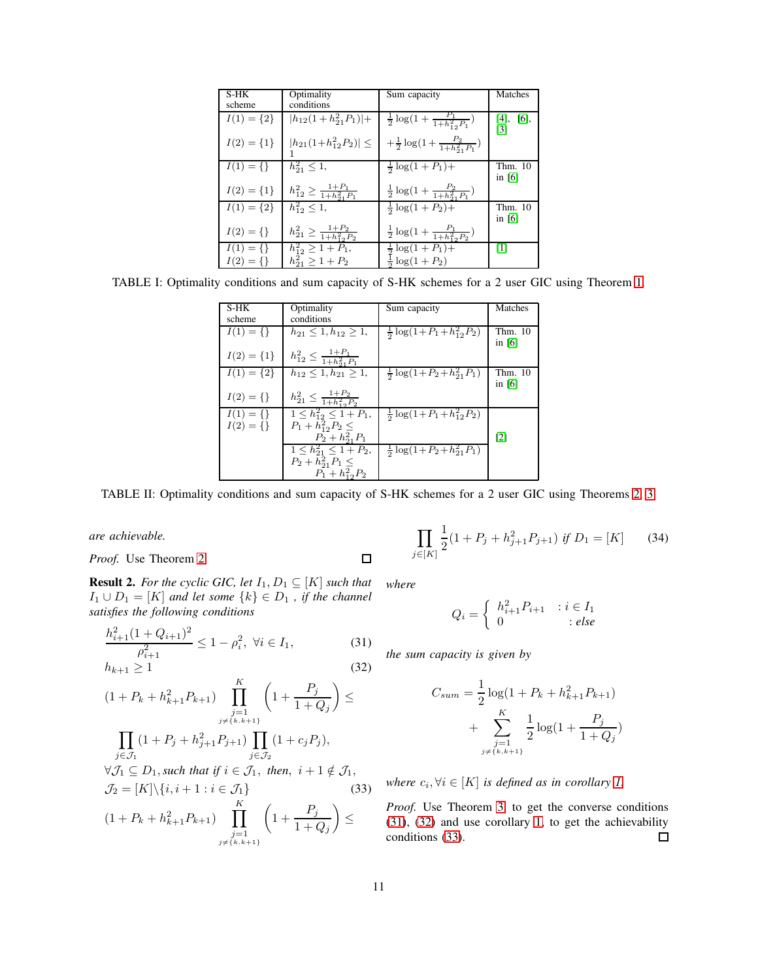<span id="page-10-0"></span>

| S-HK           | Optimality                                       | Sum capacity                                              | Matches                |
|----------------|--------------------------------------------------|-----------------------------------------------------------|------------------------|
| scheme         | conditions                                       |                                                           |                        |
|                |                                                  |                                                           |                        |
| $I(1) = \{2\}$ | $ h_{12}(1+h_{21}^2P_1) +$                       | $\frac{1}{2} \log(1 + \frac{P_1}{1 + h_{12}^2 P_1})$      | $[4]$ , $[6]$ ,<br>[3] |
| $I(2) = \{1\}$ | $ h_{21}(1+h_{12}^2P_2)  \leq$                   | $+\frac{1}{2}\log(1+\frac{P_2}{1+h_{01}^2P_1})$           |                        |
| $I(1) = \{\}\$ | $h_{21}^2 \leq 1$ ,                              | $\frac{1}{2} \log(1 + P_1) +$                             | Thm. 10<br>in $[6]$    |
| $I(2) = \{1\}$ | $h_{12}^2 \geq \frac{1+P_1}{1+h_{2}^2\cdot P_1}$ | $\frac{1}{2}\log\left(1+\frac{P_2}{1+h_{21}^2P_1}\right)$ |                        |
| $I(1) = \{2\}$ | $h_{12}^2 \leq 1$ ,                              | $rac{1}{2}$ log(1 + P <sub>2</sub> )+                     | Thm. 10<br>in $[6]$    |
| $I(2) = \{\}$  | $h_{21}^2 \geq \frac{1+P_2}{1+h_{22}^2 P_2}$     | $\frac{1}{2} \log(1 + \frac{P_1}{1 + h_{12}^2 P_2})$      |                        |
| $I(1) = \{\}\$ | $h_{12}^2 \geq 1 + P_1$ ,                        | $\frac{1}{2} \log(1 + \overline{P_1}) +$                  | $\lceil 1 \rceil$      |
| $I(2) = \{\}$  | $h_{21}^2 \geq 1 + P_2$                          | $\frac{1}{2} \log(1+P_2)$                                 |                        |

<span id="page-10-1"></span>TABLE I: Optimality conditions and sum capacity of S-HK schemes for a 2 user GIC using Theorem [1.](#page-1-2)

| S-HK           | Optimality                                  | Sum capacity                               | Matches           |
|----------------|---------------------------------------------|--------------------------------------------|-------------------|
|                |                                             |                                            |                   |
| scheme         | conditions                                  |                                            |                   |
| $I(1) = \{\}$  | $h_{21} \leq 1, h_{12} \geq 1$              | $\frac{1}{2} \log(1 + P_1 + h_{12}^2 P_2)$ | Thm. 10           |
|                |                                             |                                            |                   |
|                |                                             |                                            | in $[6]$          |
|                |                                             |                                            |                   |
| $I(2) = \{1\}$ | $h_{12}^2 \leq \frac{1+P_1}{1+h_{21}^2P_1}$ |                                            |                   |
|                |                                             |                                            |                   |
| $I(1) = \{2\}$ | $h_{12} \leq 1, h_{21} \geq 1,$             | $\frac{1}{2} \log(1 + P_2 + h_{21}^2 P_1)$ | Thm. 10           |
|                |                                             |                                            | in $[6]$          |
|                |                                             |                                            |                   |
| $I(2) = \{\}$  | $h_{21}^2 \leq \frac{1+P_2}{1+h_{12}^2P_2}$ |                                            |                   |
|                |                                             |                                            |                   |
| $I(1) = \{\}\$ | $1 \leq h_{12}^2 \leq 1 + P_1$ ,            | $\frac{1}{2} \log(1+P_1+h_{12}^2 P_2)$     |                   |
|                |                                             |                                            |                   |
| $I(2) = \{\}$  | $P_1 + h_{12}^2 P_2 \leq$                   |                                            |                   |
|                | $P_2 + h_{21}^2 P_1$                        |                                            | $\lceil 2 \rceil$ |
|                | $1 \leq h_{21}^2 \leq 1 + P_2$              | $\frac{1}{2} \log(1 + P_2 + h_{21}^2 P_1)$ |                   |
|                |                                             |                                            |                   |
|                | $P_2 + h_{21}^2 P_1 \leq$                   |                                            |                   |
|                | $P_1 + h_{12}^2 P_2$                        |                                            |                   |
|                |                                             |                                            |                   |

TABLE II: Optimality conditions and sum capacity of S-HK schemes for a 2 user GIC using Theorems [2,](#page-1-4) [3.](#page-2-2)

 $\Box$ 

*are achievable.*

*Proof.* Use Theorem [2.](#page-1-4)

**Result 2.** *For the cyclic GIC, let*  $I_1, D_1 \subseteq [K]$  *such that*  $I_1 \cup D_1 = [K]$  *and let some*  $\{k\} \in D_1$  *, if the channel satisfies the following conditions*

$$
\frac{h_{i+1}^2 (1 + Q_{i+1})^2}{\rho_{i+1}^2} \le 1 - \rho_i^2, \ \forall i \in I_1,\tag{31}
$$

$$
h_{k+1} \ge 1 \tag{32}
$$

$$
(1 + P_k + h_{k+1}^2 P_{k+1}) \prod_{\substack{j=1 \ j \neq \{k,k+1\}}}^{n} \left(1 + \frac{P_j}{1 + Q_j}\right) \le
$$
  

$$
\prod_{j \in \mathcal{J}_1} (1 + P_j + h_{j+1}^2 P_{j+1}) \prod_{j \in \mathcal{J}_2} (1 + c_j P_j),
$$
  

$$
\forall \mathcal{J}_1 \subseteq D_1, \text{ such that if } i \in \mathcal{J}_1, \text{ then, } i + 1 \notin \mathcal{J}_1,
$$
  

$$
\mathcal{J}_2 = [K] \setminus \{i, i+1 : i \in \mathcal{J}_1\}
$$
(33)

$$
(1 + P_k + h_{k+1}^2 P_{k+1}) \prod_{\substack{j=1 \ j \neq \{k, k+1\}}}^{R} \left(1 + \frac{P_j}{1 + Q_j}\right) \le
$$

$$
\prod_{j \in [K]} \frac{1}{2} (1 + P_j + h_{j+1}^2 P_{j+1}) \text{ if } D_1 = [K] \qquad (34)
$$

*where*

$$
Q_i = \begin{cases} h_{i+1}^2 P_{i+1} & : i \in I_1 \\ 0 & : else \end{cases}
$$

<span id="page-10-3"></span><span id="page-10-2"></span>*the sum capacity is given by*

$$
C_{sum} = \frac{1}{2} \log(1 + P_k + h_{k+1}^2 P_{k+1}) + \sum_{\substack{j=1 \ j \neq \{k, k+1\}}}^{K} \frac{1}{2} \log(1 + \frac{P_j}{1 + Q_j})
$$

<span id="page-10-4"></span>*where*  $c_i, \forall i \in [K]$  *is defined as in corollary [1.](#page-9-4)* 

*Proof.* Use Theorem [3,](#page-2-2) to get the converse conditions [\(31\)](#page-10-2), [\(32\)](#page-10-3) and use corollary [1,](#page-9-4) to get the achievability conditions [\(33\)](#page-10-4).  $\Box$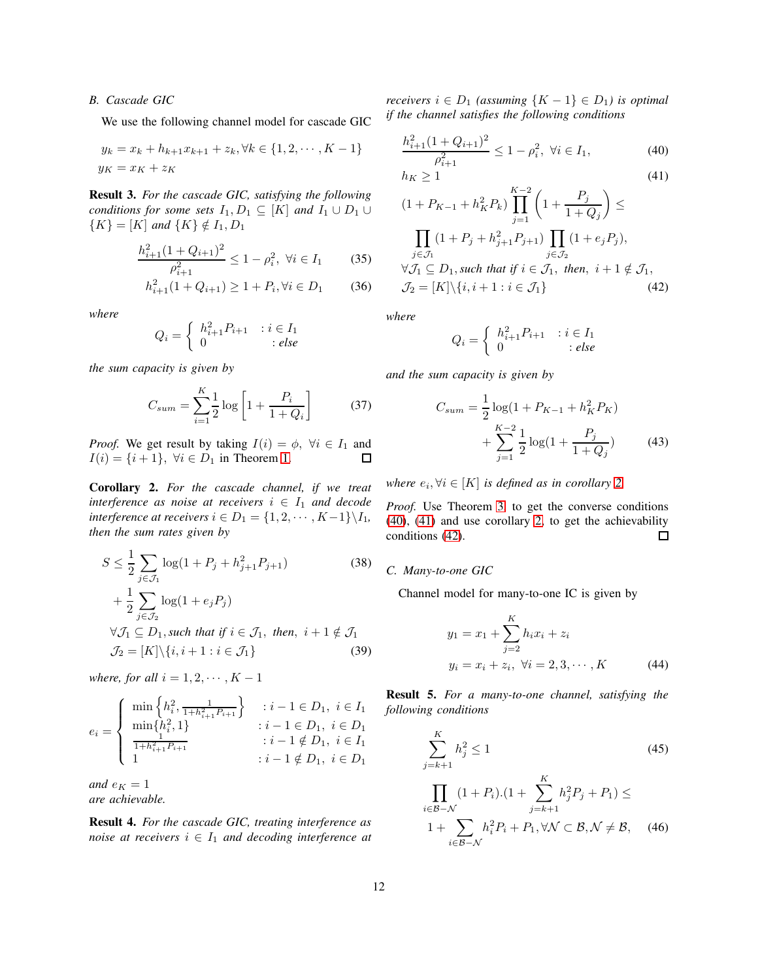## *B. Cascade GIC*

We use the following channel model for cascade GIC

$$
y_k = x_k + h_{k+1}x_{k+1} + z_k, \forall k \in \{1, 2, \cdots, K-1\}
$$

$$
y_K = x_K + z_K
$$

Result 3. *For the cascade GIC, satisfying the following conditions for some sets*  $I_1, D_1 \subseteq [K]$  *and*  $I_1 \cup D_1 \cup$  ${K} = [K]$  *and*  ${K} \notin I_1, D_1$ 

$$
\frac{h_{i+1}^2 (1 + Q_{i+1})^2}{\rho_{i+1}^2} \le 1 - \rho_i^2, \ \forall i \in I_1 \tag{35}
$$

$$
h_{i+1}^2(1+Q_{i+1}) \ge 1 + P_i, \forall i \in D_1 \tag{36}
$$

*where*

$$
Q_i = \left\{ \begin{array}{ll} h_{i+1}^2 P_{i+1} & : i \in I_1 \\ 0 & : else \end{array} \right.
$$

*the sum capacity is given by*

$$
C_{sum} = \sum_{i=1}^{K} \frac{1}{2} \log \left[ 1 + \frac{P_i}{1 + Q_i} \right]
$$
 (37)

*Proof.* We get result by taking  $I(i) = \phi$ ,  $\forall i \in I_1$  and  $I(i) = \{i+1\}, \forall i \in D_1 \text{ in Theorem 1.}$  $I(i) = \{i+1\}, \forall i \in D_1 \text{ in Theorem 1.}$  $I(i) = \{i+1\}, \forall i \in D_1 \text{ in Theorem 1.}$ 口

<span id="page-11-0"></span>Corollary 2. *For the cascade channel, if we treat interference as noise at receivers*  $i \in I_1$  *and decode interference at receivers*  $i \in D_1 = \{1, 2, \cdots, K-1\} \backslash I_1$ , *then the sum rates given by*

$$
S \leq \frac{1}{2} \sum_{j \in \mathcal{J}_1} \log(1 + P_j + h_{j+1}^2 P_{j+1})
$$
(38)  
+ 
$$
\frac{1}{2} \sum_{j \in \mathcal{J}_2} \log(1 + e_j P_j)
$$
  

$$
\forall \mathcal{J}_1 \subseteq D_1, \text{such that if } i \in \mathcal{J}_1, \text{ then, } i + 1 \notin \mathcal{J}_1
$$
  

$$
\mathcal{J}_2 = [K] \setminus \{i, i+1 : i \in \mathcal{J}_1\}
$$
(39)

*where, for all*  $i = 1, 2, \cdots, K - 1$ 

$$
e_i = \begin{cases} \min\left\{h_i^2, \frac{1}{1+h_{i+1}^2 P_{i+1}}\right\} & : i-1 \in D_1, i \in I_1\\ \min\{h_i^2, 1\} & : i-1 \in D_1, i \in D_1\\ \frac{1}{1+h_{i+1}^2 P_{i+1}} & : i-1 \notin D_1, i \in I_1\\ 1 & : i-1 \notin D_1, i \in D_1 \end{cases}
$$

*and*  $e_K = 1$ *are achievable.*

Result 4. *For the cascade GIC, treating interference as noise at receivers*  $i \in I_1$  *and decoding interference at* 

*receivers*  $i \in D_1$  *(assuming*  $\{K - 1\} \in D_1$ *) is optimal if the channel satisfies the following conditions*

<span id="page-11-1"></span>
$$
\frac{h_{i+1}^2 (1 + Q_{i+1})^2}{\rho_{i+1}^2} \le 1 - \rho_i^2, \ \forall i \in I_1,\tag{40}
$$

<span id="page-11-2"></span>
$$
h_K \ge 1
$$
\n
$$
(1 + P_{K-1} + h_K^2 P_k) \prod_{j=1}^{K-2} \left( 1 + \frac{P_j}{1 + Q_j} \right) \le
$$
\n
$$
\prod_{j \in \mathcal{J}_1} (1 + P_j + h_{j+1}^2 P_{j+1}) \prod_{j \in \mathcal{J}_2} (1 + e_j P_j),
$$
\n
$$
(41)
$$

*where*

<span id="page-11-3"></span>
$$
Q_i=\left\{\begin{array}{ll} h_{i+1}^2P_{i+1} & : i\in I_1\\ 0 & : else \end{array}\right.
$$

 $\forall \mathcal{J}_1 \subseteq D_1$ , such that if  $i \in \mathcal{J}_1$ , then,  $i+1 \notin \mathcal{J}_1$ ,  $\mathcal{J}_2 = [K] \setminus \{i, i + 1 : i \in \mathcal{J}_1\}$  (42)

*and the sum capacity is given by*

$$
C_{sum} = \frac{1}{2} \log(1 + P_{K-1} + h_K^2 P_K)
$$
  
+ 
$$
\sum_{j=1}^{K-2} \frac{1}{2} \log(1 + \frac{P_j}{1 + Q_j})
$$
(43)

*where*  $e_i, \forall i \in [K]$  *is defined as in corollary* [2.](#page-11-0)

*Proof.* Use Theorem [3,](#page-2-2) to get the converse conditions [\(40\)](#page-11-1), [\(41\)](#page-11-2) and use corollary [2,](#page-11-0) to get the achievability conditions [\(42\)](#page-11-3).  $\Box$ 

### *C. Many-to-one GIC*

Channel model for many-to-one IC is given by

$$
y_1 = x_1 + \sum_{j=2}^{K} h_i x_i + z_i
$$
  

$$
y_i = x_i + z_i, \forall i = 2, 3, \cdots, K
$$
 (44)

Result 5. *For a many-to-one channel, satisfying the following conditions*

<span id="page-11-4"></span>
$$
\sum_{j=k+1}^{K} h_j^2 \le 1
$$
\n(45)\n
$$
\prod_{i \in \mathcal{B} - \mathcal{N}} (1 + P_i) \cdot (1 + \sum_{j=k+1}^{K} h_j^2 P_j + P_1) \le
$$
\n
$$
1 + \sum_{i \in \mathcal{B} - \mathcal{N}} h_i^2 P_i + P_1, \forall \mathcal{N} \subset \mathcal{B}, \mathcal{N} \ne \mathcal{B}, \quad (46)
$$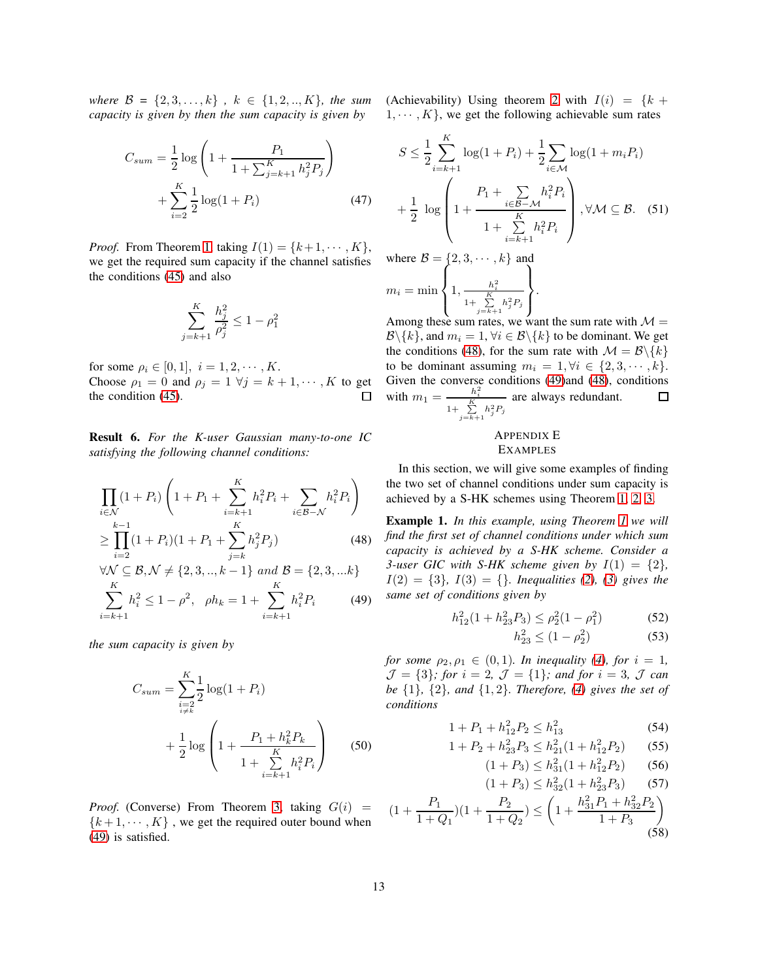*where*  $\mathcal{B} = \{2, 3, ..., k\}$ ,  $k \in \{1, 2, ..., K\}$ , the sum *capacity is given by then the sum capacity is given by*

$$
C_{sum} = \frac{1}{2} \log \left( 1 + \frac{P_1}{1 + \sum_{j=k+1}^{K} h_j^2 P_j} \right) + \sum_{i=2}^{K} \frac{1}{2} \log(1 + P_i)
$$
(47)

*Proof.* From Theorem [1,](#page-1-2) taking  $I(1) = \{k+1, \dots, K\}$ , we get the required sum capacity if the channel satisfies the conditions [\(45\)](#page-11-4) and also

$$
\sum_{j=k+1}^K \frac{h_j^2}{\rho_j^2} \leq 1-\rho
$$

2 1

for some  $\rho_i \in [0, 1], i = 1, 2, \dots, K$ . Choose  $\rho_1 = 0$  and  $\rho_j = 1 \ \forall j = k+1, \cdots, K$  to get the condition [\(45\)](#page-11-4). ◻

Result 6. *For the K-user Gaussian many-to-one IC satisfying the following channel conditions:*

$$
\prod_{i \in \mathcal{N}} (1 + P_i) \left( 1 + P_1 + \sum_{i=k+1}^{K} h_i^2 P_i + \sum_{i \in \mathcal{B} - \mathcal{N}} h_i^2 P_i \right) \n\ge \prod_{i=2}^{k-1} (1 + P_i) (1 + P_1 + \sum_{j=k}^{K} h_j^2 P_j)
$$
\n(48)

$$
\forall \mathcal{N} \subseteq \mathcal{B}, \mathcal{N} \neq \{2, 3, ..., k - 1\} \text{ and } \mathcal{B} = \{2, 3, ...k\}
$$

$$
\sum_{i=k+1}^{K} h_i^2 \le 1 - \rho^2, \quad \rho h_k = 1 + \sum_{i=k+1}^{K} h_i^2 P_i \tag{49}
$$

*the sum capacity is given by*

$$
C_{sum} = \sum_{\substack{i=2 \ i \neq k}}^{K} \frac{1}{2} \log(1 + P_i)
$$
  
+ 
$$
\frac{1}{2} \log \left(1 + \frac{P_1 + h_k^2 P_k}{1 + \sum_{i=k+1}^{K} h_i^2 P_i}\right)
$$
 (50)

*Proof.* (Converse) From Theorem [3,](#page-2-2) taking  $G(i)$  =  ${k+1, \dots, K}$ , we get the required outer bound when [\(49\)](#page-12-1) is satisfied.

(Achievability) Using theorem [2](#page-1-4) with  $I(i) = \{k +$  $1, \dots, K$ , we get the following achievable sum rates

$$
S \leq \frac{1}{2} \sum_{i=k+1}^{K} \log(1 + P_i) + \frac{1}{2} \sum_{i \in \mathcal{M}} \log(1 + m_i P_i)
$$
  
+ 
$$
\frac{1}{2} \log \left( 1 + \frac{P_1 + \sum_{i \in \mathcal{B} - \mathcal{M}} h_i^2 P_i}{1 + \sum_{i=k+1}^{K} h_i^2 P_i} \right), \forall \mathcal{M} \subseteq \mathcal{B}.
$$
 (51)

where  $\mathcal{B} = \{2, 3, \cdots, k\}$  and  $m_i = \min$  $\sqrt{ }$  $\int$  $\overline{\mathcal{L}}$  $1, \frac{h_i^2}{1 + \sum\limits_{j=k+1}^K h_j^2 P_j}$  $\mathcal{L}$  $\mathcal{L}$  $\int$ .

Among these sum rates, we want the sum rate with  $\mathcal{M} =$  $\mathcal{B}\backslash\{k\}$ , and  $m_i = 1, \forall i \in \mathcal{B}\backslash\{k\}$  to be dominant. We get the conditions [\(48\)](#page-12-2), for the sum rate with  $\mathcal{M} = \mathcal{B} \backslash \{k\}$ to be dominant assuming  $m_i = 1, \forall i \in \{2, 3, \cdots, k\}.$ Given the converse conditions [\(49\)](#page-12-1)and [\(48\)](#page-12-2), conditions with  $m_1 = \frac{h_i^2}{1 + \sum_{j=k+1}^K h_j^2 P_j}$ are always redundant.  $\Box$ 

# <span id="page-12-0"></span>APPENDIX E EXAMPLES

In this section, we will give some examples of finding the two set of channel conditions under sum capacity is achieved by a S-HK schemes using Theorem [1,](#page-1-2) [2,](#page-1-4) [3.](#page-2-2)

<span id="page-12-2"></span>Example 1. *In this example, using Theorem [1](#page-1-2) we will find the first set of channel conditions under which sum capacity is achieved by a S-HK scheme. Consider a 3-user GIC with S-HK scheme given by*  $I(1) = \{2\}$ ,  $I(2) = \{3\}$ *,*  $I(3) = \{\}$  $I(3) = \{\}$  $I(3) = \{\}$ *. Inequalities* [\(2\)](#page-1-0)*,* (3) gives the *same set of conditions given by*

$$
h_{12}^2(1+h_{23}^2P_3) \le \rho_2^2(1-\rho_1^2) \tag{52}
$$

<span id="page-12-3"></span>
$$
h_{23}^2 \le (1 - \rho_2^2) \tag{53}
$$

<span id="page-12-1"></span>*for some*  $\rho_2, \rho_1 \in (0, 1)$ *. In inequality* [\(4\)](#page-1-1)*, for*  $i = 1$ *,*  $\mathcal{J} = \{3\}$ ; for  $i = 2$ ,  $\mathcal{J} = \{1\}$ ; and for  $i = 3$ ,  $\mathcal{J}$  can *be* {1}*,* {2}*, and* {1, 2}*. Therefore, [\(4\)](#page-1-1) gives the set of conditions*

$$
1 + P_1 + h_{12}^2 P_2 \le h_{13}^2 \tag{54}
$$

$$
1 + P_2 + h_{23}^2 P_3 \le h_{21}^2 (1 + h_{12}^2 P_2) \tag{55}
$$

$$
(1+P_3) \le h_{31}^2(1+h_{12}^2P_2) \qquad (56)
$$

<span id="page-12-4"></span>
$$
(1+P_3) \le h_{32}^2(1+h_{23}^2P_3) \qquad (57)
$$

$$
(1 + \frac{P_1}{1 + Q_1})(1 + \frac{P_2}{1 + Q_2}) \le \left(1 + \frac{h_{31}^2 P_1 + h_{32}^2 P_2}{1 + P_3}\right)
$$
\n(58)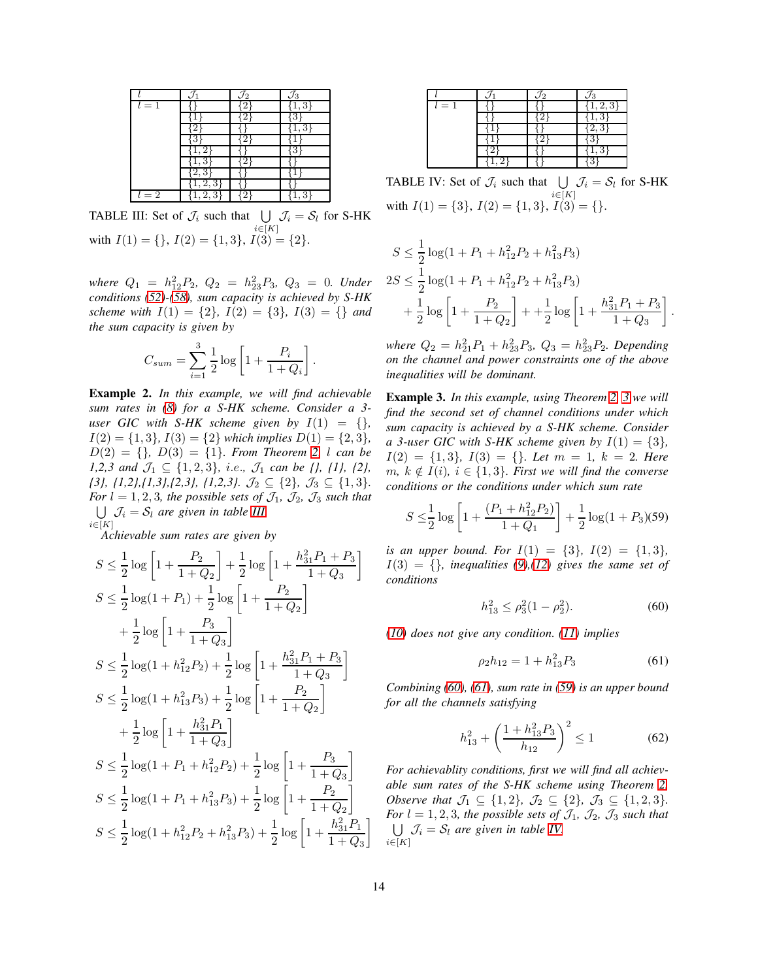<span id="page-13-0"></span>

|       | /2 | '3 |
|-------|----|----|
| $l=1$ |    |    |
|       |    |    |
|       |    |    |
|       |    |    |
|       |    | Л  |
|       |    |    |
|       |    |    |
|       |    |    |
| $l=2$ |    |    |

TABLE III: Set of  $\mathcal{J}_i$  such that  $\bigcup \mathcal{J}_i = \mathcal{S}_l$  for S-HK  $i \in [K]$ with  $I(1) = \{\}, I(2) = \{1, 3\}, I(3) = \{2\}.$ 

 $where Q_1 = h_{12}^2 P_2$ ,  $Q_2 = h_{23}^2 P_3$ ,  $Q_3 = 0$ . Under *conditions [\(52\)](#page-12-3)-[\(58\)](#page-12-4), sum capacity is achieved by S-HK scheme with*  $I(1) = \{2\}$ ,  $I(2) = \{3\}$ ,  $I(3) = \{\}$  *and the sum capacity is given by*

$$
C_{sum} = \sum_{i=1}^3 \frac{1}{2} \log \left[1 + \frac{P_i}{1 + Q_i}\right].
$$

Example 2. *In this example, we will find achievable sum rates in [\(8\)](#page-1-3) for a S-HK scheme. Consider a 3 user GIC with S-HK scheme given by*  $I(1) = \{\}$ ,  $I(2) = \{1, 3\}, I(3) = \{2\}$  *which implies*  $D(1) = \{2, 3\},\$  $D(2) = \{\}, D(3) = \{1\}.$  From Theorem [2,](#page-1-4) l can be *1,2,3 and*  $\mathcal{J}_1 \subseteq \{1, 2, 3\}$ , *i.e.*,  $\mathcal{J}_1$  *can be {}, {1}, {2}, {3}, {1,2},{1,3},{2,3}, {1,2,3}.* J<sup>2</sup> ⊆ {2}*,* J<sup>3</sup> ⊆ {1, 3}*. For*  $l = 1, 2, 3$ *, the possible sets of*  $\mathcal{J}_1$ *,*  $\mathcal{J}_2$ *,*  $\mathcal{J}_3$  *such that*  $\bigcup \mathcal{J}_i = \mathcal{S}_l$  are given in table *III*.  $i\in[K]$ 

*Achievable sum rates are given by*

$$
S \leq \frac{1}{2} \log \left[ 1 + \frac{P_2}{1 + Q_2} \right] + \frac{1}{2} \log \left[ 1 + \frac{h_{31}^2 P_1 + P_3}{1 + Q_3} \right]
$$
  
\n
$$
S \leq \frac{1}{2} \log(1 + P_1) + \frac{1}{2} \log \left[ 1 + \frac{P_2}{1 + Q_2} \right]
$$
  
\n
$$
+ \frac{1}{2} \log \left[ 1 + \frac{P_3}{1 + Q_3} \right]
$$
  
\n
$$
S \leq \frac{1}{2} \log(1 + h_{12}^2 P_2) + \frac{1}{2} \log \left[ 1 + \frac{h_{31}^2 P_1 + P_3}{1 + Q_3} \right]
$$
  
\n
$$
S \leq \frac{1}{2} \log(1 + h_{13}^2 P_3) + \frac{1}{2} \log \left[ 1 + \frac{P_2}{1 + Q_2} \right]
$$
  
\n
$$
+ \frac{1}{2} \log \left[ 1 + \frac{h_{31}^2 P_1}{1 + Q_3} \right]
$$
  
\n
$$
S \leq \frac{1}{2} \log(1 + P_1 + h_{12}^2 P_2) + \frac{1}{2} \log \left[ 1 + \frac{P_3}{1 + Q_3} \right]
$$
  
\n
$$
S \leq \frac{1}{2} \log(1 + P_1 + h_{13}^2 P_3) + \frac{1}{2} \log \left[ 1 + \frac{P_2}{1 + Q_2} \right]
$$
  
\n
$$
S \leq \frac{1}{2} \log(1 + h_{12}^2 P_2 + h_{13}^2 P_3) + \frac{1}{2} \log \left[ 1 + \frac{h_{31}^2 P_1}{1 + Q_3} \right]
$$

<span id="page-13-4"></span>

|       | Ÿ2 | /3 |
|-------|----|----|
| $l=1$ |    | 2. |
|       |    |    |
|       |    |    |
|       |    |    |
|       |    |    |
|       |    |    |

TABLE IV: Set of  $\mathcal{J}_i$  such that  $\bigcup \mathcal{J}_i = \mathcal{S}_l$  for S-HK  $i \in [K]$ with  $I(1) = \{3\}, I(2) = \{1, 3\}, \widetilde{I(3)} = \{\}.$ 

$$
S \le \frac{1}{2}\log(1 + P_1 + h_{12}^2 P_2 + h_{13}^2 P_3)
$$
  
\n
$$
2S \le \frac{1}{2}\log(1 + P_1 + h_{12}^2 P_2 + h_{13}^2 P_3)
$$
  
\n
$$
+ \frac{1}{2}\log\left[1 + \frac{P_2}{1 + Q_2}\right] + + \frac{1}{2}\log\left[1 + \frac{h_{31}^2 P_1 + P_3}{1 + Q_3}\right].
$$

where  $Q_2 = h_{21}^2 P_1 + h_{23}^2 P_3$ ,  $Q_3 = h_{23}^2 P_2$ . Depending *on the channel and power constraints one of the above inequalities will be dominant.*

Example 3. *In this example, using Theorem [2,](#page-1-4) [3](#page-2-2) we will find the second set of channel conditions under which sum capacity is achieved by a S-HK scheme. Consider a* 3-user GIC with S-HK scheme given by  $I(1) = \{3\}$ ,  $I(2) = \{1, 3\}, I(3) = \{\}$ *. Let*  $m = 1, k = 2$ *. Here*  $m, k \notin I(i), i \in \{1, 3\}$ *. First we will find the converse conditions or the conditions under which sum rate*

$$
S \le \frac{1}{2} \log \left[ 1 + \frac{(P_1 + h_{12}^2 P_2)}{1 + Q_1} \right] + \frac{1}{2} \log(1 + P_3)
$$
(59)

*is an upper bound. For*  $I(1) = \{3\}$ ,  $I(2) = \{1, 3\}$ ,  $I(3) = \{\}$ *, inequalities* [\(9\)](#page-2-0),[\(12\)](#page-2-1) gives the same set of *conditions*

<span id="page-13-3"></span><span id="page-13-1"></span>
$$
h_{13}^2 \le \rho_3^2 (1 - \rho_2^2). \tag{60}
$$

*[\(10\)](#page-2-3) does not give any condition. [\(11\)](#page-2-4) implies*

<span id="page-13-2"></span>
$$
\rho_2 h_{12} = 1 + h_{13}^2 P_3 \tag{61}
$$

*Combining [\(60\)](#page-13-1), [\(61\)](#page-13-2), sum rate in [\(59\)](#page-13-3) is an upper bound for all the channels satisfying*

<span id="page-13-5"></span>
$$
h_{13}^2 + \left(\frac{1 + h_{13}^2 P_3}{h_{12}}\right)^2 \le 1\tag{62}
$$

*For achievablity conditions, first we will find all achievable sum rates of the S-HK scheme using Theorem [2.](#page-1-4) Observe that*  $\mathcal{J}_1 \subseteq \{1,2\}$ ,  $\mathcal{J}_2 \subseteq \{2\}$ ,  $\mathcal{J}_3 \subseteq \{1,2,3\}$ . *For*  $l = 1, 2, 3$ *, the possible sets of*  $\mathcal{J}_1$ *,*  $\mathcal{J}_2$ *,*  $\mathcal{J}_3$  *such that*  $\bigcup \mathcal{J}_i = \mathcal{S}_l$  are given in table *IV*.  $i \in [K]$